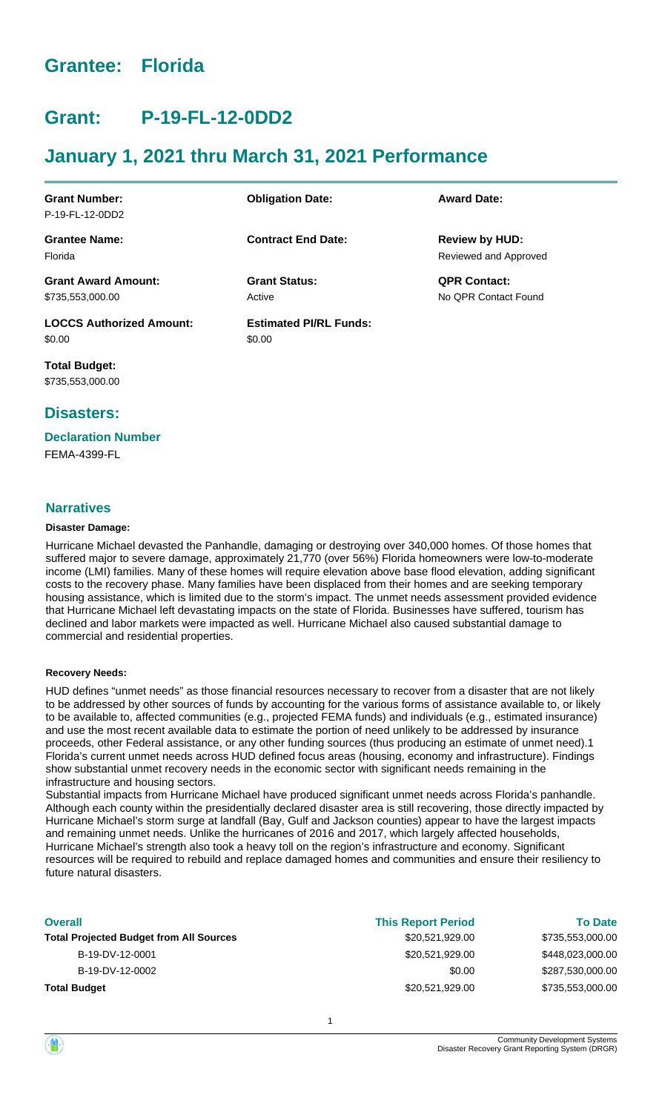## **Grantee: Florida**

## **Grant: P-19-FL-12-0DD2**

## **January 1, 2021 thru March 31, 2021 Performance**

| <b>Grant Number:</b>            | <b>Obligation Date:</b>       | <b>Award Date:</b>    |
|---------------------------------|-------------------------------|-----------------------|
| P-19-FL-12-0DD2                 |                               |                       |
| <b>Grantee Name:</b>            | <b>Contract End Date:</b>     | <b>Review by HUD:</b> |
| Florida                         |                               | Reviewed and Approved |
| <b>Grant Award Amount:</b>      | <b>Grant Status:</b>          | <b>QPR Contact:</b>   |
| \$735,553,000.00                | Active                        | No OPR Contact Found  |
| <b>LOCCS Authorized Amount:</b> | <b>Estimated PI/RL Funds:</b> |                       |
| \$0.00                          | \$0.00                        |                       |

**Total Budget:** \$735,553,000.00

## **Disasters:**

## **Declaration Number**

FEMA-4399-FL

## **Narratives**

## **Disaster Damage:**

Hurricane Michael devasted the Panhandle, damaging or destroying over 340,000 homes. Of those homes that suffered major to severe damage, approximately 21,770 (over 56%) Florida homeowners were low-to-moderate income (LMI) families. Many of these homes will require elevation above base flood elevation, adding significant costs to the recovery phase. Many families have been displaced from their homes and are seeking temporary housing assistance, which is limited due to the storm's impact. The unmet needs assessment provided evidence that Hurricane Michael left devastating impacts on the state of Florida. Businesses have suffered, tourism has declined and labor markets were impacted as well. Hurricane Michael also caused substantial damage to commercial and residential properties.

#### **Recovery Needs:**

HUD defines "unmet needs" as those financial resources necessary to recover from a disaster that are not likely to be addressed by other sources of funds by accounting for the various forms of assistance available to, or likely to be available to, affected communities (e.g., projected FEMA funds) and individuals (e.g., estimated insurance) and use the most recent available data to estimate the portion of need unlikely to be addressed by insurance proceeds, other Federal assistance, or any other funding sources (thus producing an estimate of unmet need).1 Florida's current unmet needs across HUD defined focus areas (housing, economy and infrastructure). Findings show substantial unmet recovery needs in the economic sector with significant needs remaining in the infrastructure and housing sectors.

Substantial impacts from Hurricane Michael have produced significant unmet needs across Florida's panhandle. Although each county within the presidentially declared disaster area is still recovering, those directly impacted by Hurricane Michael's storm surge at landfall (Bay, Gulf and Jackson counties) appear to have the largest impacts and remaining unmet needs. Unlike the hurricanes of 2016 and 2017, which largely affected households, Hurricane Michael's strength also took a heavy toll on the region's infrastructure and economy. Significant resources will be required to rebuild and replace damaged homes and communities and ensure their resiliency to future natural disasters.

| <b>Overall</b>                                 | <b>This Report Period</b> | <b>To Date</b>   |
|------------------------------------------------|---------------------------|------------------|
| <b>Total Projected Budget from All Sources</b> | \$20,521,929.00           | \$735,553,000.00 |
| B-19-DV-12-0001                                | \$20,521,929.00           | \$448,023,000.00 |
| B-19-DV-12-0002                                | \$0.00                    | \$287,530,000.00 |
| <b>Total Budget</b>                            | \$20,521,929.00           | \$735,553,000.00 |
|                                                |                           |                  |

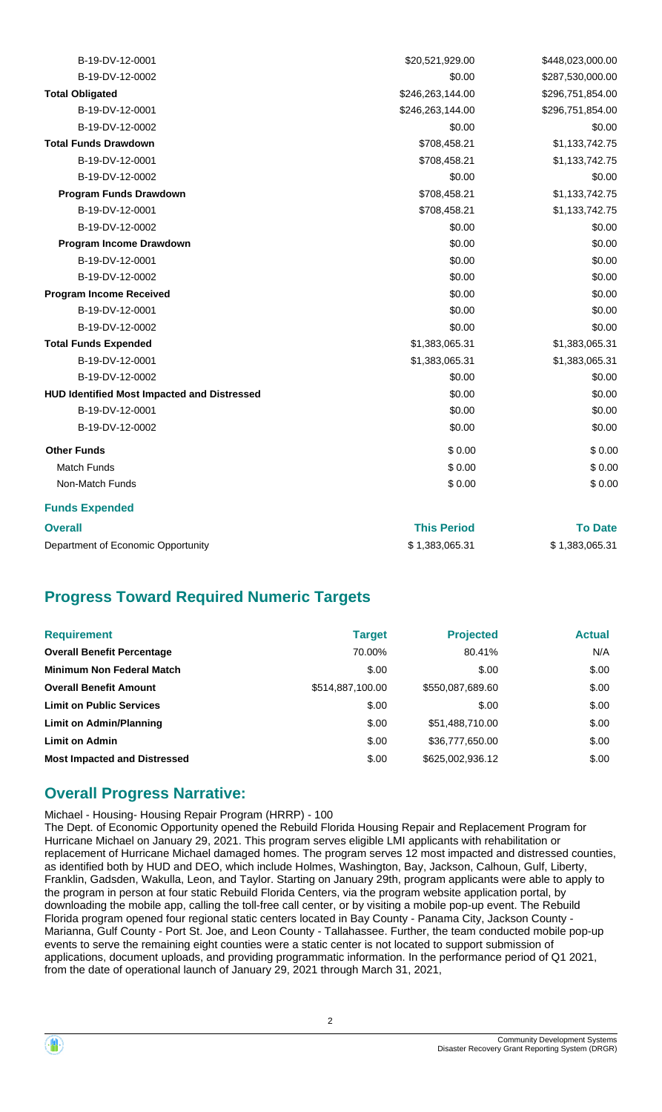| B-19-DV-12-0001                                    | \$20,521,929.00  | \$448,023,000.00 |
|----------------------------------------------------|------------------|------------------|
| B-19-DV-12-0002                                    | \$0.00           | \$287,530,000.00 |
| <b>Total Obligated</b>                             | \$246,263,144.00 | \$296,751,854.00 |
| B-19-DV-12-0001                                    | \$246,263,144.00 | \$296,751,854.00 |
| B-19-DV-12-0002                                    | \$0.00           | \$0.00           |
| <b>Total Funds Drawdown</b>                        | \$708,458.21     | \$1,133,742.75   |
| B-19-DV-12-0001                                    | \$708,458.21     | \$1,133,742.75   |
| B-19-DV-12-0002                                    | \$0.00           | \$0.00           |
| <b>Program Funds Drawdown</b>                      | \$708,458.21     | \$1,133,742.75   |
| B-19-DV-12-0001                                    | \$708,458.21     | \$1,133,742.75   |
| B-19-DV-12-0002                                    | \$0.00           | \$0.00           |
| Program Income Drawdown                            | \$0.00           | \$0.00           |
| B-19-DV-12-0001                                    | \$0.00           | \$0.00           |
| B-19-DV-12-0002                                    | \$0.00           | \$0.00           |
| <b>Program Income Received</b>                     | \$0.00           | \$0.00           |
| B-19-DV-12-0001                                    | \$0.00           | \$0.00           |
| B-19-DV-12-0002                                    | \$0.00           | \$0.00           |
| <b>Total Funds Expended</b>                        | \$1,383,065.31   | \$1,383,065.31   |
| B-19-DV-12-0001                                    | \$1,383,065.31   | \$1,383,065.31   |
| B-19-DV-12-0002                                    | \$0.00           | \$0.00           |
| <b>HUD Identified Most Impacted and Distressed</b> | \$0.00           | \$0.00           |
| B-19-DV-12-0001                                    | \$0.00           | \$0.00           |
| B-19-DV-12-0002                                    | \$0.00           | \$0.00           |
| <b>Other Funds</b>                                 | \$0.00           | \$0.00           |
| <b>Match Funds</b>                                 | \$0.00           | \$0.00           |
| Non-Match Funds                                    | \$0.00           | \$0.00           |
| <b>Funds Expended</b>                              |                  |                  |

| <b>Overall</b>                     | <b>This Period</b> | <b>To Date</b> |
|------------------------------------|--------------------|----------------|
| Department of Economic Opportunity | \$1.383.065.31     | \$1,383,065.31 |

## **Progress Toward Required Numeric Targets**

| <b>Requirement</b>                  | <b>Target</b>    | <b>Projected</b> | <b>Actual</b> |
|-------------------------------------|------------------|------------------|---------------|
| <b>Overall Benefit Percentage</b>   | 70.00%           | 80.41%           | N/A           |
| <b>Minimum Non Federal Match</b>    | \$.00            | \$.00            | \$.00         |
| <b>Overall Benefit Amount</b>       | \$514,887,100.00 | \$550,087,689.60 | \$.00         |
| <b>Limit on Public Services</b>     | \$.00            | \$.00            | \$.00         |
| Limit on Admin/Planning             | \$.00            | \$51,488,710.00  | \$.00         |
| <b>Limit on Admin</b>               | \$.00            | \$36,777,650.00  | \$.00         |
| <b>Most Impacted and Distressed</b> | \$.00            | \$625,002,936.12 | \$.00         |

## **Overall Progress Narrative:**

Michael - Housing- Housing Repair Program (HRRP) - 100 The Dept. of Economic Opportunity opened the Rebuild Florida Housing Repair and Replacement Program for Hurricane Michael on January 29, 2021. This program serves eligible LMI applicants with rehabilitation or replacement of Hurricane Michael damaged homes. The program serves 12 most impacted and distressed counties, as identified both by HUD and DEO, which include Holmes, Washington, Bay, Jackson, Calhoun, Gulf, Liberty, Franklin, Gadsden, Wakulla, Leon, and Taylor. Starting on January 29th, program applicants were able to apply to the program in person at four static Rebuild Florida Centers, via the program website application portal, by downloading the mobile app, calling the toll-free call center, or by visiting a mobile pop-up event. The Rebuild Florida program opened four regional static centers located in Bay County - Panama City, Jackson County - Marianna, Gulf County - Port St. Joe, and Leon County - Tallahassee. Further, the team conducted mobile pop-up events to serve the remaining eight counties were a static center is not located to support submission of applications, document uploads, and providing programmatic information. In the performance period of Q1 2021, from the date of operational launch of January 29, 2021 through March 31, 2021,

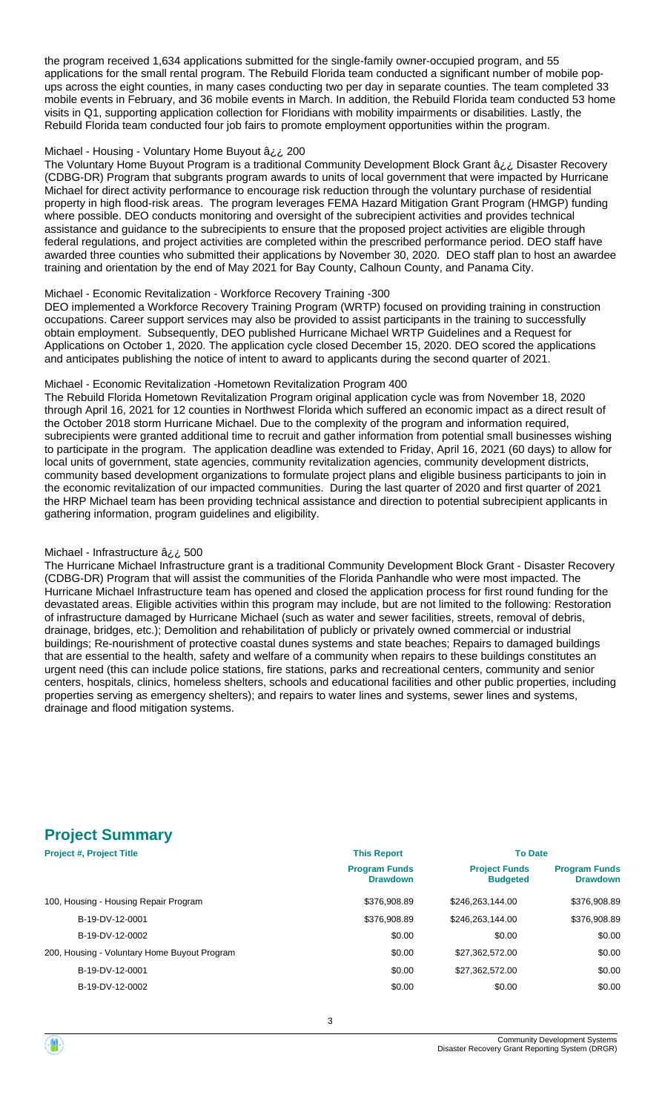the program received 1,634 applications submitted for the single-family owner-occupied program, and 55 applications for the small rental program. The Rebuild Florida team conducted a significant number of mobile popups across the eight counties, in many cases conducting two per day in separate counties. The team completed 33 mobile events in February, and 36 mobile events in March. In addition, the Rebuild Florida team conducted 53 home visits in Q1, supporting application collection for Floridians with mobility impairments or disabilities. Lastly, the Rebuild Florida team conducted four job fairs to promote employment opportunities within the program.

#### Michael - Housing - Voluntary Home Buyout â¿¿ 200

The Voluntary Home Buyout Program is a traditional Community Development Block Grant â¿¿ Disaster Recovery (CDBG-DR) Program that subgrants program awards to units of local government that were impacted by Hurricane Michael for direct activity performance to encourage risk reduction through the voluntary purchase of residential property in high flood-risk areas. The program leverages FEMA Hazard Mitigation Grant Program (HMGP) funding where possible. DEO conducts monitoring and oversight of the subrecipient activities and provides technical assistance and guidance to the subrecipients to ensure that the proposed project activities are eligible through federal regulations, and project activities are completed within the prescribed performance period. DEO staff have awarded three counties who submitted their applications by November 30, 2020. DEO staff plan to host an awardee training and orientation by the end of May 2021 for Bay County, Calhoun County, and Panama City.

#### Michael - Economic Revitalization - Workforce Recovery Training -300

DEO implemented a Workforce Recovery Training Program (WRTP) focused on providing training in construction occupations. Career support services may also be provided to assist participants in the training to successfully obtain employment. Subsequently, DEO published Hurricane Michael WRTP Guidelines and a Request for Applications on October 1, 2020. The application cycle closed December 15, 2020. DEO scored the applications and anticipates publishing the notice of intent to award to applicants during the second quarter of 2021.

#### Michael - Economic Revitalization -Hometown Revitalization Program 400

The Rebuild Florida Hometown Revitalization Program original application cycle was from November 18, 2020 through April 16, 2021 for 12 counties in Northwest Florida which suffered an economic impact as a direct result of the October 2018 storm Hurricane Michael. Due to the complexity of the program and information required, subrecipients were granted additional time to recruit and gather information from potential small businesses wishing to participate in the program. The application deadline was extended to Friday, April 16, 2021 (60 days) to allow for local units of government, state agencies, community revitalization agencies, community development districts, community based development organizations to formulate project plans and eligible business participants to join in the economic revitalization of our impacted communities. During the last quarter of 2020 and first quarter of 2021 the HRP Michael team has been providing technical assistance and direction to potential subrecipient applicants in gathering information, program guidelines and eligibility.

#### Michael - Infrastructure â¿¿ 500

The Hurricane Michael Infrastructure grant is a traditional Community Development Block Grant - Disaster Recovery (CDBG-DR) Program that will assist the communities of the Florida Panhandle who were most impacted. The Hurricane Michael Infrastructure team has opened and closed the application process for first round funding for the devastated areas. Eligible activities within this program may include, but are not limited to the following: Restoration of infrastructure damaged by Hurricane Michael (such as water and sewer facilities, streets, removal of debris, drainage, bridges, etc.); Demolition and rehabilitation of publicly or privately owned commercial or industrial buildings; Re-nourishment of protective coastal dunes systems and state beaches; Repairs to damaged buildings that are essential to the health, safety and welfare of a community when repairs to these buildings constitutes an urgent need (this can include police stations, fire stations, parks and recreational centers, community and senior centers, hospitals, clinics, homeless shelters, schools and educational facilities and other public properties, including properties serving as emergency shelters); and repairs to water lines and systems, sewer lines and systems, drainage and flood mitigation systems.

## **Project Summary**

| <b>Project #, Project Title</b>              | <b>This Report</b>                      | <b>To Date</b>                          |                                         |
|----------------------------------------------|-----------------------------------------|-----------------------------------------|-----------------------------------------|
|                                              | <b>Program Funds</b><br><b>Drawdown</b> | <b>Project Funds</b><br><b>Budgeted</b> | <b>Program Funds</b><br><b>Drawdown</b> |
| 100, Housing - Housing Repair Program        | \$376,908.89                            | \$246,263,144,00                        | \$376,908.89                            |
| B-19-DV-12-0001                              | \$376,908.89                            | \$246,263,144,00                        | \$376,908.89                            |
| B-19-DV-12-0002                              | \$0.00                                  | \$0.00                                  | \$0.00                                  |
| 200, Housing - Voluntary Home Buyout Program | \$0.00                                  | \$27.362.572.00                         | \$0.00                                  |
| B-19-DV-12-0001                              | \$0.00                                  | \$27,362,572.00                         | \$0.00                                  |
| B-19-DV-12-0002                              | \$0.00                                  | \$0.00                                  | \$0.00                                  |

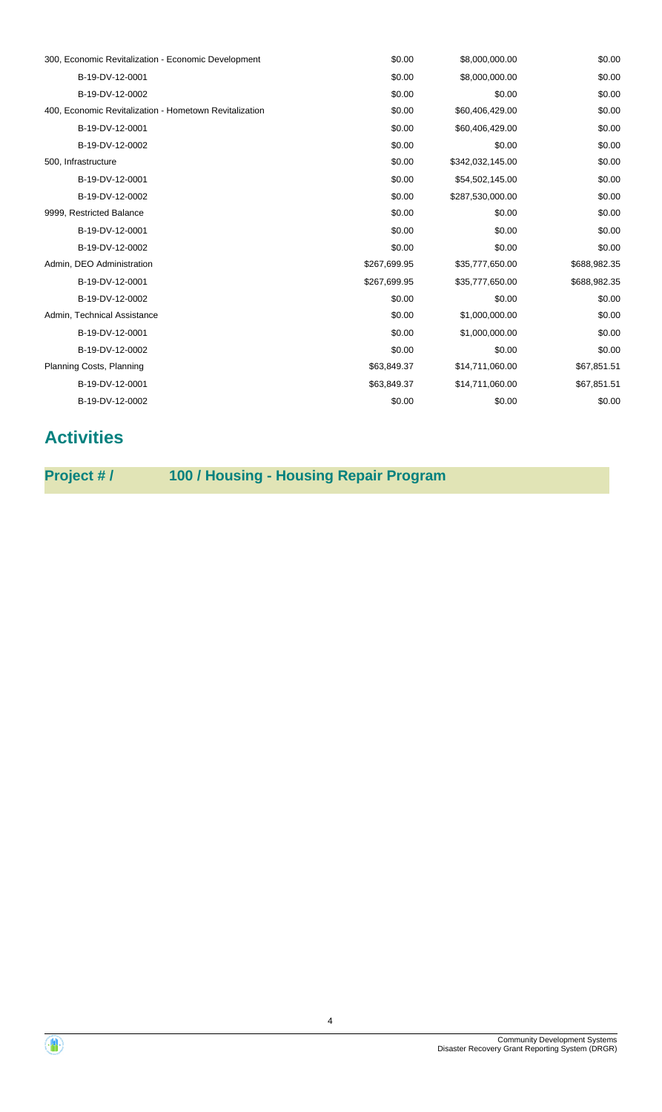| 300, Economic Revitalization - Economic Development    | \$0.00       | \$8,000,000.00   | \$0.00       |
|--------------------------------------------------------|--------------|------------------|--------------|
| B-19-DV-12-0001                                        | \$0.00       | \$8,000,000.00   | \$0.00       |
| B-19-DV-12-0002                                        | \$0.00       | \$0.00           | \$0.00       |
| 400, Economic Revitalization - Hometown Revitalization | \$0.00       | \$60,406,429.00  | \$0.00       |
| B-19-DV-12-0001                                        | \$0.00       | \$60,406,429.00  | \$0.00       |
| B-19-DV-12-0002                                        | \$0.00       | \$0.00           | \$0.00       |
| 500, Infrastructure                                    | \$0.00       | \$342,032,145.00 | \$0.00       |
| B-19-DV-12-0001                                        | \$0.00       | \$54,502,145.00  | \$0.00       |
| B-19-DV-12-0002                                        | \$0.00       | \$287,530,000.00 | \$0.00       |
| 9999, Restricted Balance                               | \$0.00       | \$0.00           | \$0.00       |
| B-19-DV-12-0001                                        | \$0.00       | \$0.00           | \$0.00       |
| B-19-DV-12-0002                                        | \$0.00       | \$0.00           | \$0.00       |
| Admin, DEO Administration                              | \$267,699.95 | \$35,777,650.00  | \$688,982.35 |
| B-19-DV-12-0001                                        | \$267,699.95 | \$35,777,650.00  | \$688,982.35 |
| B-19-DV-12-0002                                        | \$0.00       | \$0.00           | \$0.00       |
| Admin, Technical Assistance                            | \$0.00       | \$1,000,000.00   | \$0.00       |
| B-19-DV-12-0001                                        | \$0.00       | \$1,000,000.00   | \$0.00       |
| B-19-DV-12-0002                                        | \$0.00       | \$0.00           | \$0.00       |
| Planning Costs, Planning                               | \$63,849.37  | \$14,711,060.00  | \$67,851.51  |
| B-19-DV-12-0001                                        | \$63,849.37  | \$14,711,060.00  | \$67,851.51  |
| B-19-DV-12-0002                                        | \$0.00       | \$0.00           | \$0.00       |
|                                                        |              |                  |              |

## **Activities**

**Project # / 100 / Housing - Housing Repair Program**

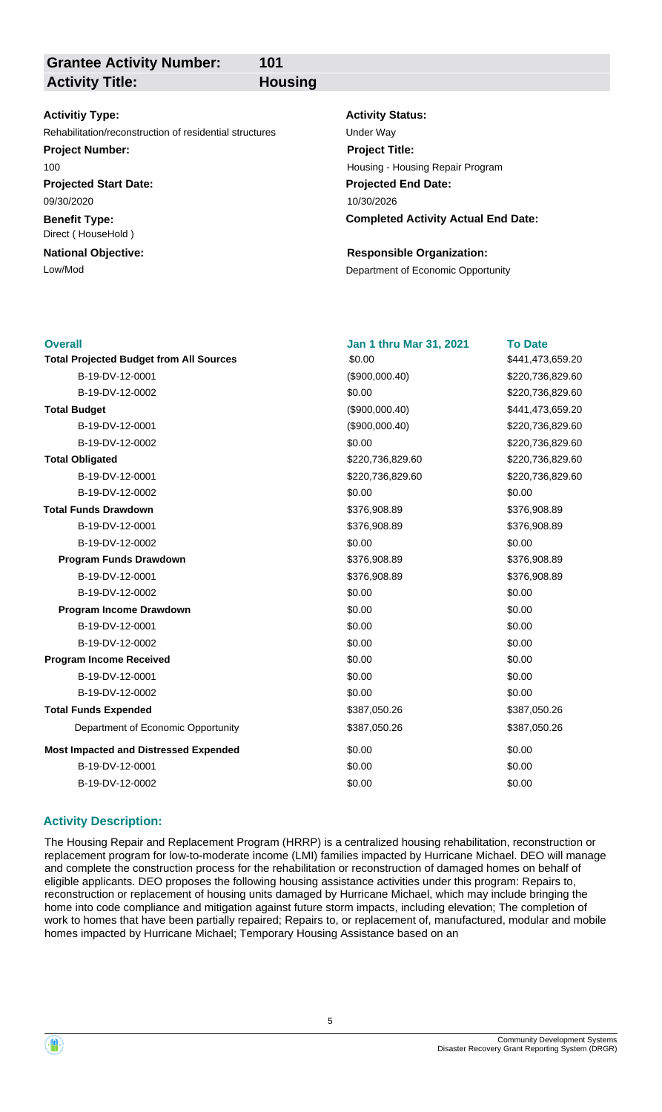**Grantee Activity Number: Activity Title: Housing**

**101**

## **Activitiy Type:**

Rehabilitation/reconstruction of residential structures Under Way

## **Project Number:**

100

**Projected Start Date:** 09/30/2020

**Benefit Type:** Direct ( HouseHold )

## **National Objective:**

#### **Activity Status:**

**Projected End Date: Completed Activity Actual End Date:** 10/30/2026 **Project Title:** Housing - Housing Repair Program

## **Responsible Organization:**

Low/Mod<br>
Department of Economic Opportunity

| <b>Overall</b>                                 | <b>Jan 1 thru Mar 31, 2021</b> | <b>To Date</b>   |
|------------------------------------------------|--------------------------------|------------------|
| <b>Total Projected Budget from All Sources</b> | \$0.00                         | \$441,473,659.20 |
| B-19-DV-12-0001                                | (\$900,000.40)                 | \$220,736,829.60 |
| B-19-DV-12-0002                                | \$0.00                         | \$220,736,829.60 |
| <b>Total Budget</b>                            | (\$900,000.40)                 | \$441,473,659.20 |
| B-19-DV-12-0001                                | (\$900,000.40)                 | \$220,736,829.60 |
| B-19-DV-12-0002                                | \$0.00                         | \$220,736,829.60 |
| <b>Total Obligated</b>                         | \$220,736,829.60               | \$220,736,829.60 |
| B-19-DV-12-0001                                | \$220,736,829.60               | \$220,736,829.60 |
| B-19-DV-12-0002                                | \$0.00                         | \$0.00           |
| <b>Total Funds Drawdown</b>                    | \$376,908.89                   | \$376,908.89     |
| B-19-DV-12-0001                                | \$376,908.89                   | \$376,908.89     |
| B-19-DV-12-0002                                | \$0.00                         | \$0.00           |
| <b>Program Funds Drawdown</b>                  | \$376,908.89                   | \$376,908.89     |
| B-19-DV-12-0001                                | \$376,908.89                   | \$376,908.89     |
| B-19-DV-12-0002                                | \$0.00                         | \$0.00           |
| Program Income Drawdown                        | \$0.00                         | \$0.00           |
| B-19-DV-12-0001                                | \$0.00                         | \$0.00           |
| B-19-DV-12-0002                                | \$0.00                         | \$0.00           |
| <b>Program Income Received</b>                 | \$0.00                         | \$0.00           |
| B-19-DV-12-0001                                | \$0.00                         | \$0.00           |
| B-19-DV-12-0002                                | \$0.00                         | \$0.00           |
| <b>Total Funds Expended</b>                    | \$387,050.26                   | \$387,050.26     |
| Department of Economic Opportunity             | \$387,050.26                   | \$387,050.26     |
| <b>Most Impacted and Distressed Expended</b>   | \$0.00                         | \$0.00           |
| B-19-DV-12-0001                                | \$0.00                         | \$0.00           |
| B-19-DV-12-0002                                | \$0.00                         | \$0.00           |
|                                                |                                |                  |

## **Activity Description:**

The Housing Repair and Replacement Program (HRRP) is a centralized housing rehabilitation, reconstruction or replacement program for low-to-moderate income (LMI) families impacted by Hurricane Michael. DEO will manage and complete the construction process for the rehabilitation or reconstruction of damaged homes on behalf of eligible applicants. DEO proposes the following housing assistance activities under this program: Repairs to, reconstruction or replacement of housing units damaged by Hurricane Michael, which may include bringing the home into code compliance and mitigation against future storm impacts, including elevation; The completion of work to homes that have been partially repaired; Repairs to, or replacement of, manufactured, modular and mobile homes impacted by Hurricane Michael; Temporary Housing Assistance based on an

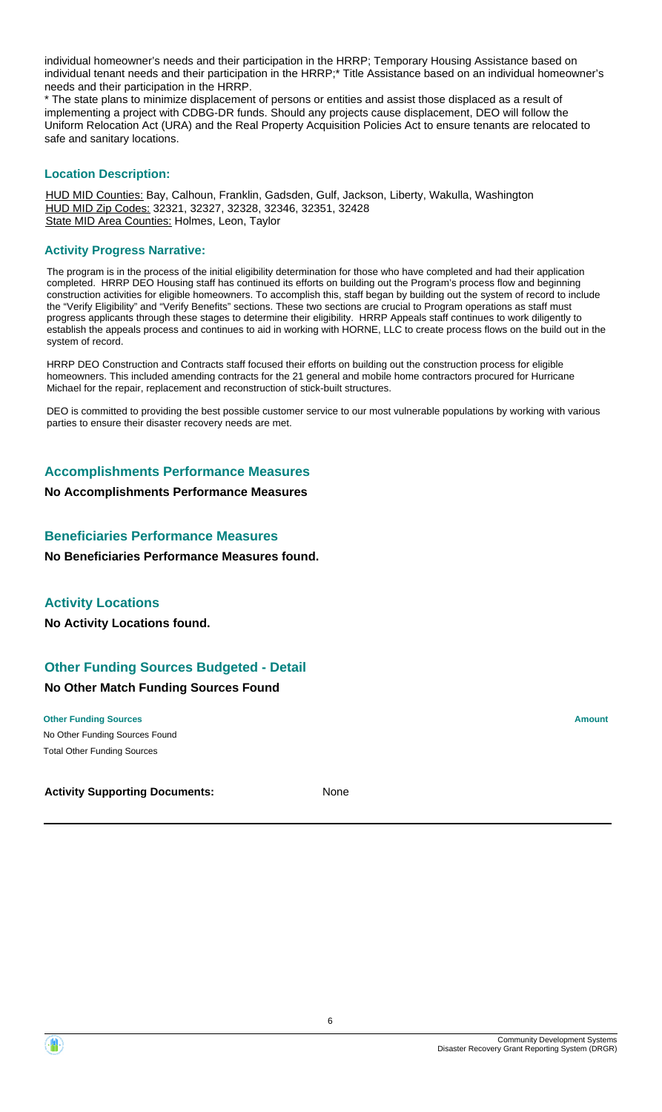individual homeowner's needs and their participation in the HRRP; Temporary Housing Assistance based on individual tenant needs and their participation in the HRRP;\* Title Assistance based on an individual homeowner's needs and their participation in the HRRP.

\* The state plans to minimize displacement of persons or entities and assist those displaced as a result of implementing a project with CDBG-DR funds. Should any projects cause displacement, DEO will follow the Uniform Relocation Act (URA) and the Real Property Acquisition Policies Act to ensure tenants are relocated to safe and sanitary locations.

## **Location Description:**

HUD MID Counties: Bay, Calhoun, Franklin, Gadsden, Gulf, Jackson, Liberty, Wakulla, Washington HUD MID Zip Codes: 32321, 32327, 32328, 32346, 32351, 32428 State MID Area Counties: Holmes, Leon, Taylor

#### **Activity Progress Narrative:**

The program is in the process of the initial eligibility determination for those who have completed and had their application completed. HRRP DEO Housing staff has continued its efforts on building out the Program's process flow and beginning construction activities for eligible homeowners. To accomplish this, staff began by building out the system of record to include the "Verify Eligibility" and "Verify Benefits" sections. These two sections are crucial to Program operations as staff must progress applicants through these stages to determine their eligibility. HRRP Appeals staff continues to work diligently to establish the appeals process and continues to aid in working with HORNE, LLC to create process flows on the build out in the system of record.

HRRP DEO Construction and Contracts staff focused their efforts on building out the construction process for eligible homeowners. This included amending contracts for the 21 general and mobile home contractors procured for Hurricane Michael for the repair, replacement and reconstruction of stick-built structures.

DEO is committed to providing the best possible customer service to our most vulnerable populations by working with various parties to ensure their disaster recovery needs are met.

## **Accomplishments Performance Measures**

**No Accomplishments Performance Measures**

## **Beneficiaries Performance Measures**

**No Beneficiaries Performance Measures found.**

## **Activity Locations**

**No Activity Locations found.**

## **Other Funding Sources Budgeted - Detail**

## **No Other Match Funding Sources Found**

#### **Other Funding Sources Amount Amount Amount Amount Amount Amount Amount**

No Other Funding Sources Found Total Other Funding Sources

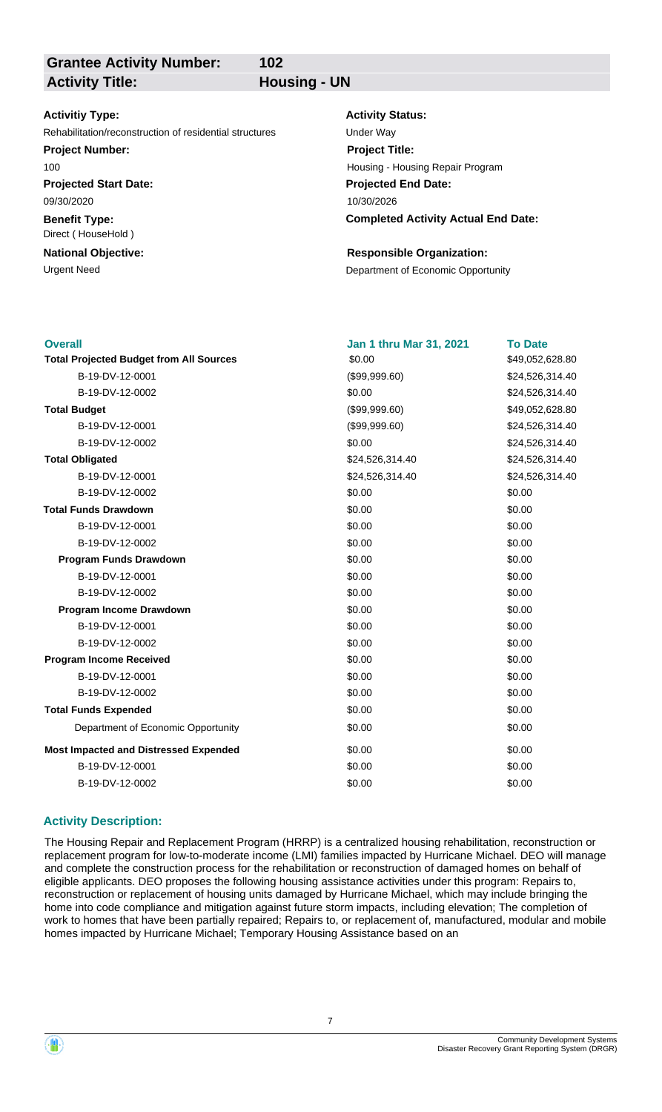**Grantee Activity Number:** Activity Title: **Housing - UN** 

**102**

## **Activitiy Type:**

Rehabilitation/reconstruction of residential structures Under Way

## **Project Number:**

100

**Projected Start Date:** 09/30/2020

**Benefit Type:** Direct ( HouseHold )

## **National Objective:**

## **Activity Status:**

**Projected End Date: Completed Activity Actual End Date:** 10/30/2026 **Project Title:** Housing - Housing Repair Program

## **Responsible Organization:**

Urgent Need **Department of Economic Opportunity** 

| Jan 1 thru Mar 31, 2021 | <b>To Date</b>  |
|-------------------------|-----------------|
| \$0.00                  | \$49,052,628.80 |
| (\$99,999.60)           | \$24,526,314.40 |
| \$0.00                  | \$24,526,314.40 |
| (\$99,999.60)           | \$49,052,628.80 |
| (\$99,999.60)           | \$24,526,314.40 |
| \$0.00                  | \$24,526,314.40 |
| \$24,526,314.40         | \$24,526,314.40 |
| \$24,526,314.40         | \$24,526,314.40 |
| \$0.00                  | \$0.00          |
| \$0.00                  | \$0.00          |
| \$0.00                  | \$0.00          |
| \$0.00                  | \$0.00          |
| \$0.00                  | \$0.00          |
| \$0.00                  | \$0.00          |
| \$0.00                  | \$0.00          |
| \$0.00                  | \$0.00          |
| \$0.00                  | \$0.00          |
| \$0.00                  | \$0.00          |
| \$0.00                  | \$0.00          |
| \$0.00                  | \$0.00          |
| \$0.00                  | \$0.00          |
| \$0.00                  | \$0.00          |
| \$0.00                  | \$0.00          |
| \$0.00                  | \$0.00          |
| \$0.00                  | \$0.00          |
| \$0.00                  | \$0.00          |
|                         |                 |

## **Activity Description:**

The Housing Repair and Replacement Program (HRRP) is a centralized housing rehabilitation, reconstruction or replacement program for low-to-moderate income (LMI) families impacted by Hurricane Michael. DEO will manage and complete the construction process for the rehabilitation or reconstruction of damaged homes on behalf of eligible applicants. DEO proposes the following housing assistance activities under this program: Repairs to, reconstruction or replacement of housing units damaged by Hurricane Michael, which may include bringing the home into code compliance and mitigation against future storm impacts, including elevation; The completion of work to homes that have been partially repaired; Repairs to, or replacement of, manufactured, modular and mobile homes impacted by Hurricane Michael; Temporary Housing Assistance based on an

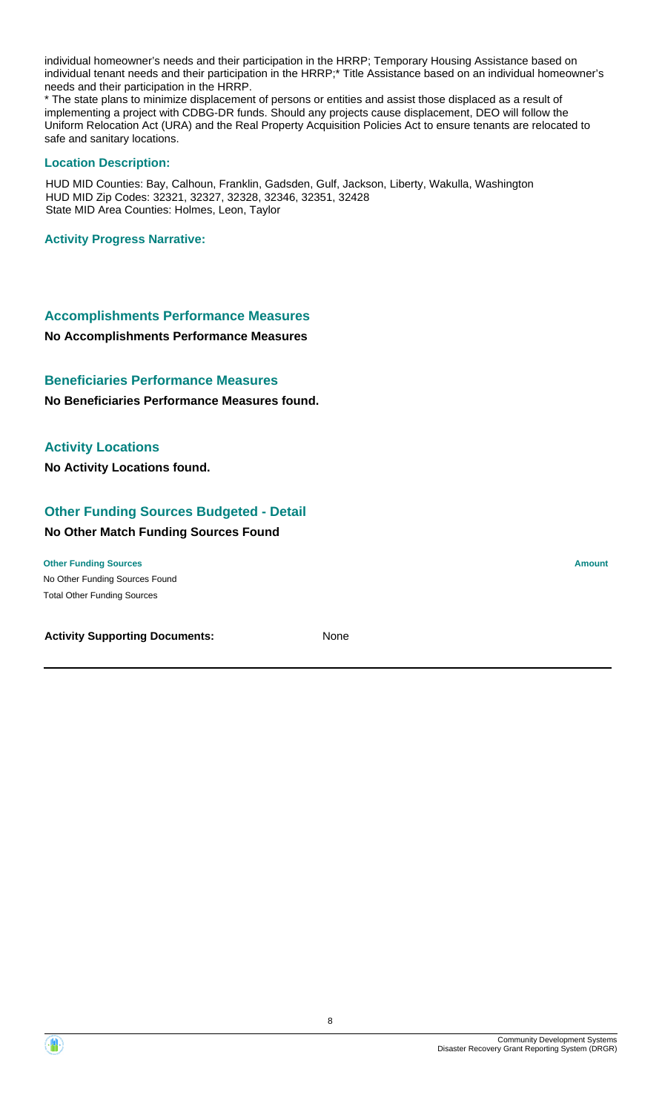individual homeowner's needs and their participation in the HRRP; Temporary Housing Assistance based on individual tenant needs and their participation in the HRRP;\* Title Assistance based on an individual homeowner's needs and their participation in the HRRP.

\* The state plans to minimize displacement of persons or entities and assist those displaced as a result of implementing a project with CDBG-DR funds. Should any projects cause displacement, DEO will follow the Uniform Relocation Act (URA) and the Real Property Acquisition Policies Act to ensure tenants are relocated to safe and sanitary locations.

#### **Location Description:**

HUD MID Counties: Bay, Calhoun, Franklin, Gadsden, Gulf, Jackson, Liberty, Wakulla, Washington HUD MID Zip Codes: 32321, 32327, 32328, 32346, 32351, 32428 State MID Area Counties: Holmes, Leon, Taylor

#### **Activity Progress Narrative:**

## **Accomplishments Performance Measures**

**No Accomplishments Performance Measures**

## **Beneficiaries Performance Measures**

**No Beneficiaries Performance Measures found.**

## **Activity Locations**

**No Activity Locations found.**

## **Other Funding Sources Budgeted - Detail**

#### **No Other Match Funding Sources Found**

No Other Funding Sources Found **Other Funding Sources Amount** Total Other Funding Sources

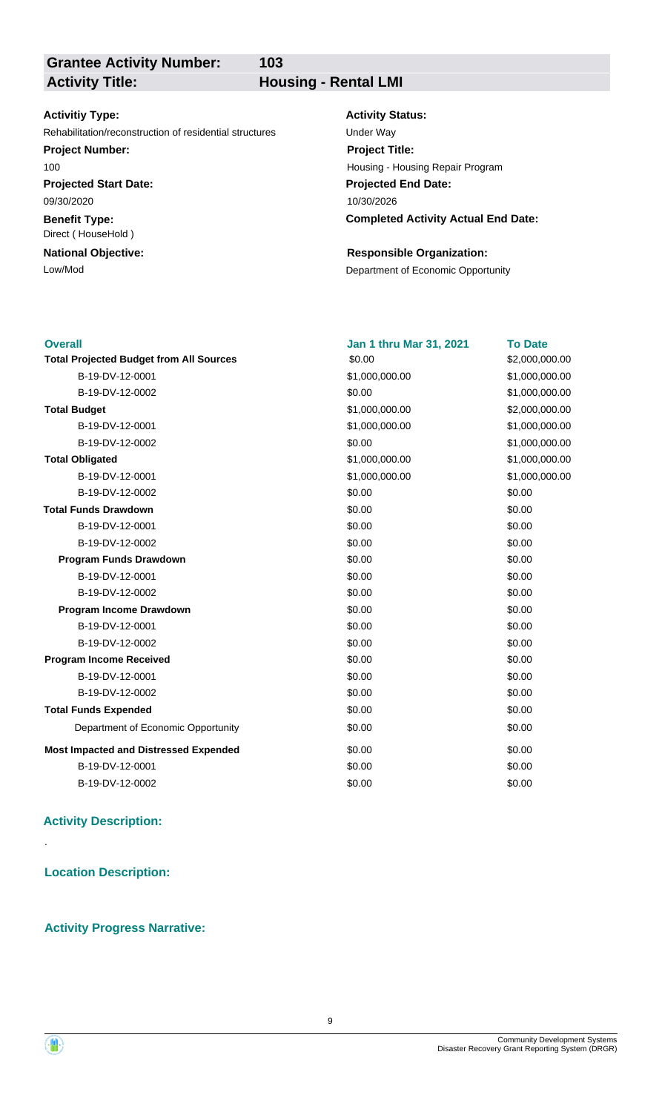**Grantee Activity Number:**

**103**

## **Activity Title: Housing - Rental LMI**

## **Activitiy Type:**

Rehabilitation/reconstruction of residential structures Under Way

## **Project Number:**

100

**Projected Start Date:** 09/30/2020

**Benefit Type:** Direct ( HouseHold )

## **National Objective:**

#### **Activity Status:**

**Projected End Date: Completed Activity Actual End Date:** 10/30/2026 **Project Title:** Housing - Housing Repair Program

## **Responsible Organization:**

Low/Mod **Department of Economic Opportunity** 

| <b>Overall</b>                                 | <b>Jan 1 thru Mar 31, 2021</b> | <b>To Date</b> |
|------------------------------------------------|--------------------------------|----------------|
| <b>Total Projected Budget from All Sources</b> | \$0.00                         | \$2,000,000.00 |
| B-19-DV-12-0001                                | \$1,000,000.00                 | \$1,000,000.00 |
| B-19-DV-12-0002                                | \$0.00                         | \$1,000,000.00 |
| <b>Total Budget</b>                            | \$1,000,000.00                 | \$2,000,000.00 |
| B-19-DV-12-0001                                | \$1,000,000.00                 | \$1,000,000.00 |
| B-19-DV-12-0002                                | \$0.00                         | \$1,000,000.00 |
| <b>Total Obligated</b>                         | \$1,000,000.00                 | \$1,000,000.00 |
| B-19-DV-12-0001                                | \$1,000,000.00                 | \$1,000,000.00 |
| B-19-DV-12-0002                                | \$0.00                         | \$0.00         |
| <b>Total Funds Drawdown</b>                    | \$0.00                         | \$0.00         |
| B-19-DV-12-0001                                | \$0.00                         | \$0.00         |
| B-19-DV-12-0002                                | \$0.00                         | \$0.00         |
| <b>Program Funds Drawdown</b>                  | \$0.00                         | \$0.00         |
| B-19-DV-12-0001                                | \$0.00                         | \$0.00         |
| B-19-DV-12-0002                                | \$0.00                         | \$0.00         |
| Program Income Drawdown                        | \$0.00                         | \$0.00         |
| B-19-DV-12-0001                                | \$0.00                         | \$0.00         |
| B-19-DV-12-0002                                | \$0.00                         | \$0.00         |
| <b>Program Income Received</b>                 | \$0.00                         | \$0.00         |
| B-19-DV-12-0001                                | \$0.00                         | \$0.00         |
| B-19-DV-12-0002                                | \$0.00                         | \$0.00         |
| <b>Total Funds Expended</b>                    | \$0.00                         | \$0.00         |
| Department of Economic Opportunity             | \$0.00                         | \$0.00         |
| <b>Most Impacted and Distressed Expended</b>   | \$0.00                         | \$0.00         |
| B-19-DV-12-0001                                | \$0.00                         | \$0.00         |
| B-19-DV-12-0002                                | \$0.00                         | \$0.00         |

## **Activity Description:**

**Location Description:**

## **Activity Progress Narrative:**



.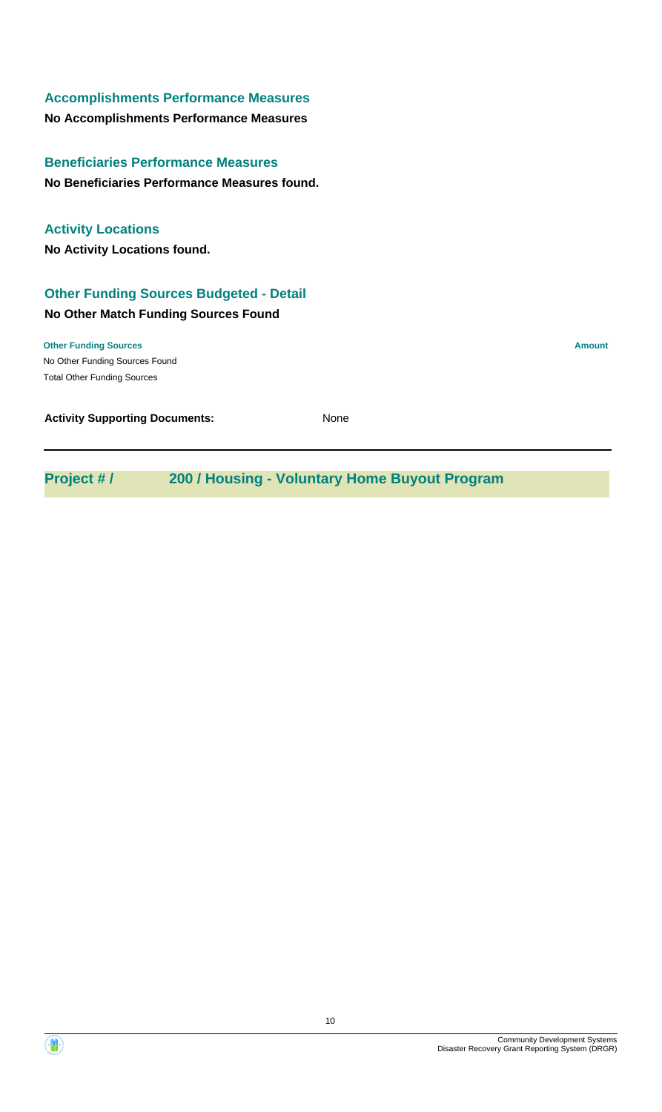## **Accomplishments Performance Measures**

**No Accomplishments Performance Measures**

**No Beneficiaries Performance Measures found. Beneficiaries Performance Measures**

## **Activity Locations**

**No Activity Locations found.**

## **Other Funding Sources Budgeted - Detail**

## **No Other Match Funding Sources Found**

No Other Funding Sources Found **Other Funding Sources Amount** Total Other Funding Sources

**Activity Supporting Documents:** None

**Project # / 200 / Housing - Voluntary Home Buyout Program**

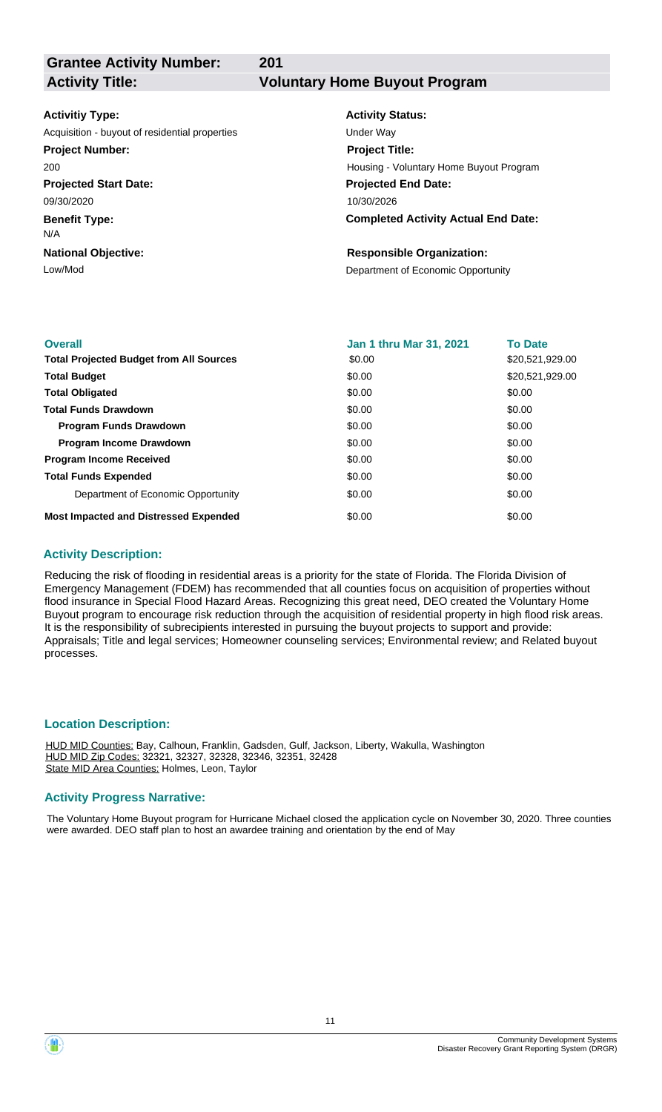**201**

**Grantee Activity Number:**

**Activity Title: Voluntary Home Buyout Program**

## **Activitiy Type:**

**Projected Start Date:** 09/30/2020 Acquisition - buyout of residential properties Van Acquisition - buyout of residential properties **Project Number:** 200

**Benefit Type:**

N/A

**National Objective:**

# **Activity Status:**

**Projected End Date: Completed Activity Actual End Date:** 10/30/2026 **Project Title:** Housing - Voluntary Home Buyout Program

## **Responsible Organization:**

Low/Mod<br>
Department of Economic Opportunity

| <b>Overall</b>                                 | <b>Jan 1 thru Mar 31, 2021</b> | <b>To Date</b>  |
|------------------------------------------------|--------------------------------|-----------------|
| <b>Total Projected Budget from All Sources</b> | \$0.00                         | \$20,521,929.00 |
| <b>Total Budget</b>                            | \$0.00                         | \$20,521,929.00 |
| <b>Total Obligated</b>                         | \$0.00                         | \$0.00          |
| <b>Total Funds Drawdown</b>                    | \$0.00                         | \$0.00          |
| <b>Program Funds Drawdown</b>                  | \$0.00                         | \$0.00          |
| <b>Program Income Drawdown</b>                 | \$0.00                         | \$0.00          |
| <b>Program Income Received</b>                 | \$0.00                         | \$0.00          |
| <b>Total Funds Expended</b>                    | \$0.00                         | \$0.00          |
| Department of Economic Opportunity             | \$0.00                         | \$0.00          |
| <b>Most Impacted and Distressed Expended</b>   | \$0.00                         | \$0.00          |

## **Activity Description:**

Reducing the risk of flooding in residential areas is a priority for the state of Florida. The Florida Division of Emergency Management (FDEM) has recommended that all counties focus on acquisition of properties without flood insurance in Special Flood Hazard Areas. Recognizing this great need, DEO created the Voluntary Home Buyout program to encourage risk reduction through the acquisition of residential property in high flood risk areas. It is the responsibility of subrecipients interested in pursuing the buyout projects to support and provide: Appraisals; Title and legal services; Homeowner counseling services; Environmental review; and Related buyout processes.

## **Location Description:**

HUD MID Counties: Bay, Calhoun, Franklin, Gadsden, Gulf, Jackson, Liberty, Wakulla, Washington HUD MID Zip Codes: 32321, 32327, 32328, 32346, 32351, 32428 State MID Area Counties: Holmes, Leon, Taylor

## **Activity Progress Narrative:**

The Voluntary Home Buyout program for Hurricane Michael closed the application cycle on November 30, 2020. Three counties were awarded. DEO staff plan to host an awardee training and orientation by the end of May

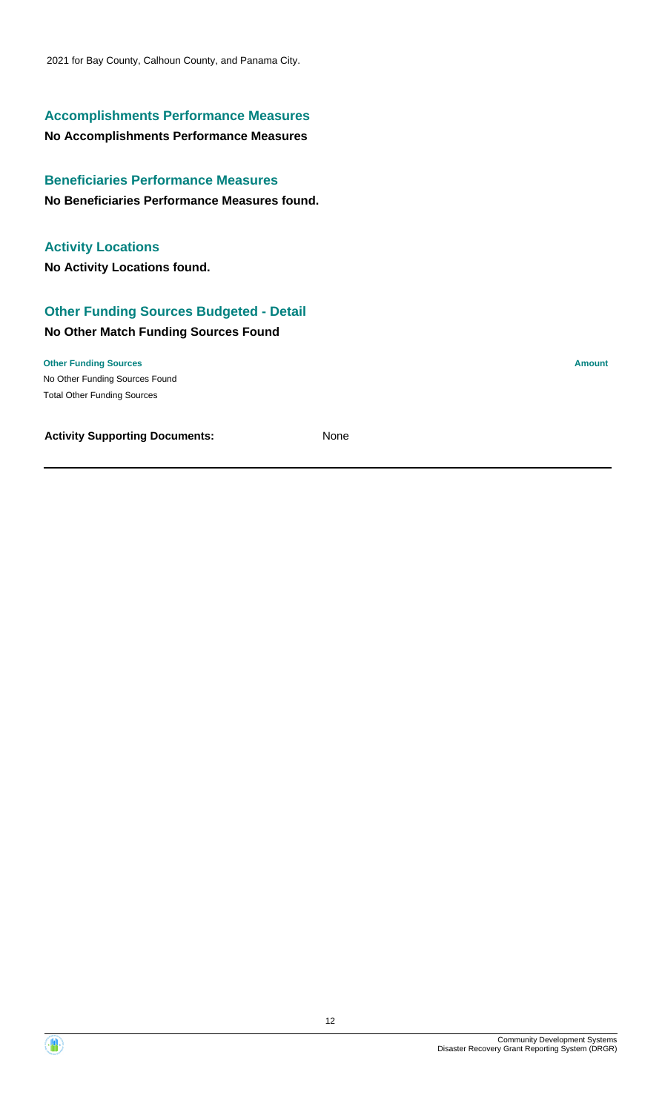2021 for Bay County, Calhoun County, and Panama City.

## **Accomplishments Performance Measures**

## **No Accomplishments Performance Measures**

**No Beneficiaries Performance Measures found. Beneficiaries Performance Measures**

## **Activity Locations**

**No Activity Locations found.**

## **Other Funding Sources Budgeted - Detail**

## **No Other Match Funding Sources Found**

No Other Funding Sources Found **Other Funding Sources Amount Amount Amount Amount Amount Amount Amount** Total Other Funding Sources



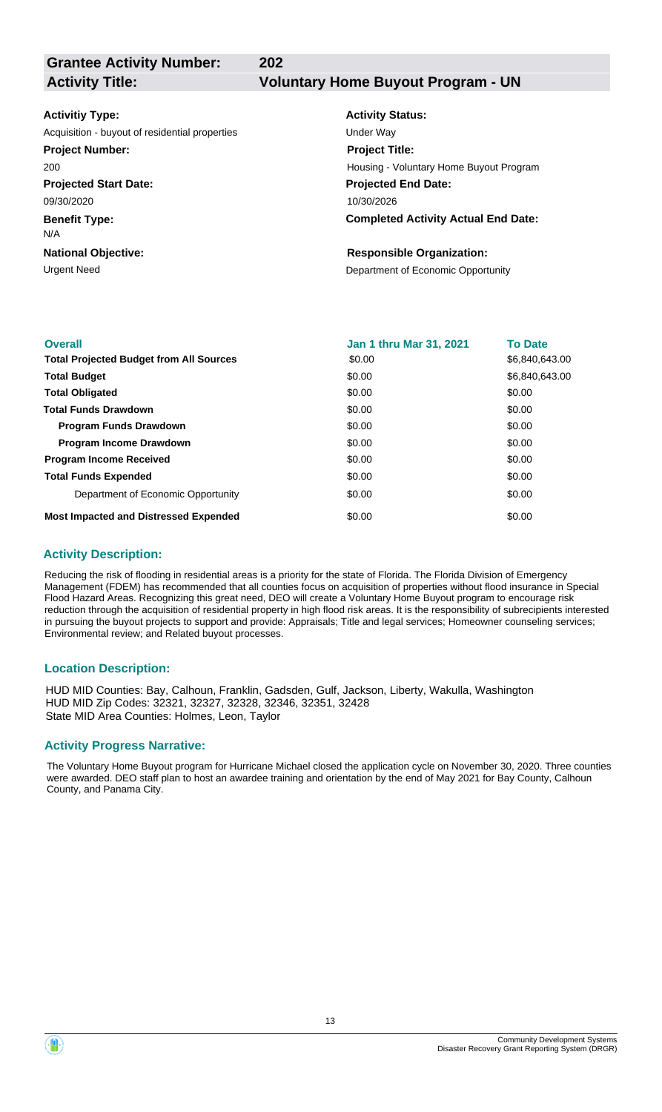**202**

## **Grantee Activity Number:**

**Activity Title: Voluntary Home Buyout Program - UN**

### **Activitiy Type:**

**Projected Start Date:** Acquisition - buyout of residential properties Van Acquisition - buyout of residential properties **Project Number:** 200

09/30/2020

**Benefit Type:**

N/A

**National Objective:**

## **Activity Status:**

**Projected End Date: Completed Activity Actual End Date:** 10/30/2026 **Project Title:** Housing - Voluntary Home Buyout Program

## **Responsible Organization:**

Urgent Need **Department of Economic Opportunity** 

| <b>Overall</b>                                 | <b>Jan 1 thru Mar 31, 2021</b> | <b>To Date</b> |
|------------------------------------------------|--------------------------------|----------------|
| <b>Total Projected Budget from All Sources</b> | \$0.00                         | \$6,840,643.00 |
| <b>Total Budget</b>                            | \$0.00                         | \$6,840,643.00 |
| <b>Total Obligated</b>                         | \$0.00                         | \$0.00         |
| <b>Total Funds Drawdown</b>                    | \$0.00                         | \$0.00         |
| <b>Program Funds Drawdown</b>                  | \$0.00                         | \$0.00         |
| <b>Program Income Drawdown</b>                 | \$0.00                         | \$0.00         |
| <b>Program Income Received</b>                 | \$0.00                         | \$0.00         |
| <b>Total Funds Expended</b>                    | \$0.00                         | \$0.00         |
| Department of Economic Opportunity             | \$0.00                         | \$0.00         |
| <b>Most Impacted and Distressed Expended</b>   | \$0.00                         | \$0.00         |

## **Activity Description:**

Reducing the risk of flooding in residential areas is a priority for the state of Florida. The Florida Division of Emergency Management (FDEM) has recommended that all counties focus on acquisition of properties without flood insurance in Special Flood Hazard Areas. Recognizing this great need, DEO will create a Voluntary Home Buyout program to encourage risk reduction through the acquisition of residential property in high flood risk areas. It is the responsibility of subrecipients interested in pursuing the buyout projects to support and provide: Appraisals; Title and legal services; Homeowner counseling services; Environmental review; and Related buyout processes.

## **Location Description:**

HUD MID Counties: Bay, Calhoun, Franklin, Gadsden, Gulf, Jackson, Liberty, Wakulla, Washington HUD MID Zip Codes: 32321, 32327, 32328, 32346, 32351, 32428 State MID Area Counties: Holmes, Leon, Taylor

## **Activity Progress Narrative:**

The Voluntary Home Buyout program for Hurricane Michael closed the application cycle on November 30, 2020. Three counties were awarded. DEO staff plan to host an awardee training and orientation by the end of May 2021 for Bay County, Calhoun County, and Panama City.

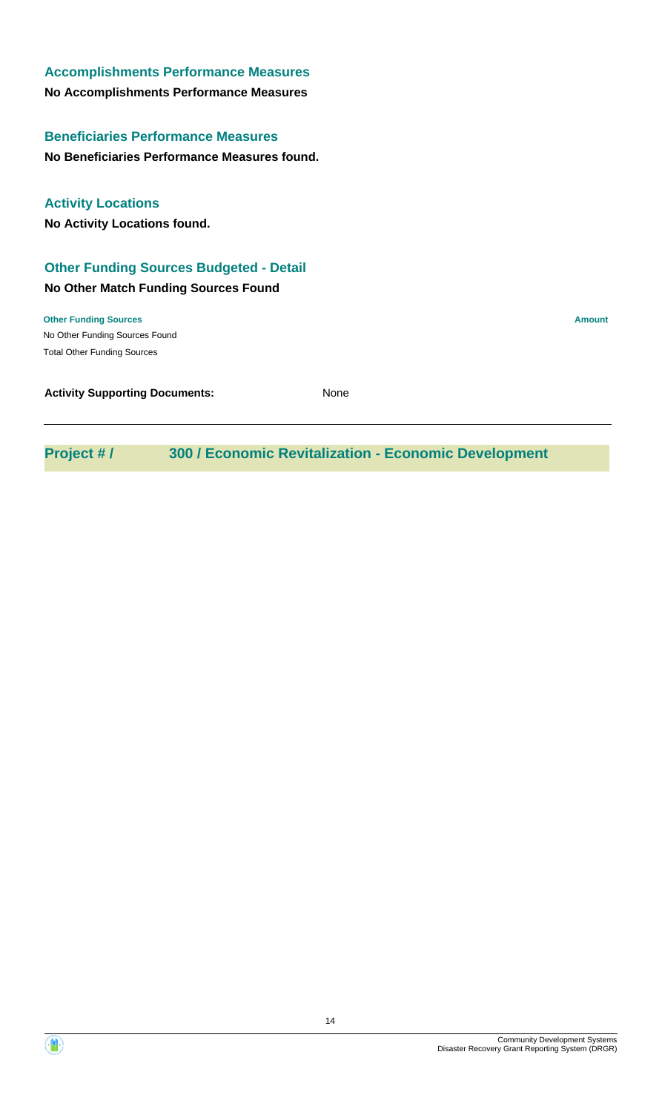| <b>Accomplishments Performance Measures</b>    |               |
|------------------------------------------------|---------------|
| No Accomplishments Performance Measures        |               |
| <b>Beneficiaries Performance Measures</b>      |               |
| No Beneficiaries Performance Measures found.   |               |
| <b>Activity Locations</b>                      |               |
| <b>No Activity Locations found.</b>            |               |
| <b>Other Funding Sources Budgeted - Detail</b> |               |
| <b>No Other Match Funding Sources Found</b>    |               |
| <b>Other Funding Sources</b>                   | <b>Amount</b> |
| No Other Funding Sources Found                 |               |
| <b>Total Other Funding Sources</b>             |               |
| <b>Activity Supporting Documents:</b>          | None          |

**Project # / 300 / Economic Revitalization - Economic Development**

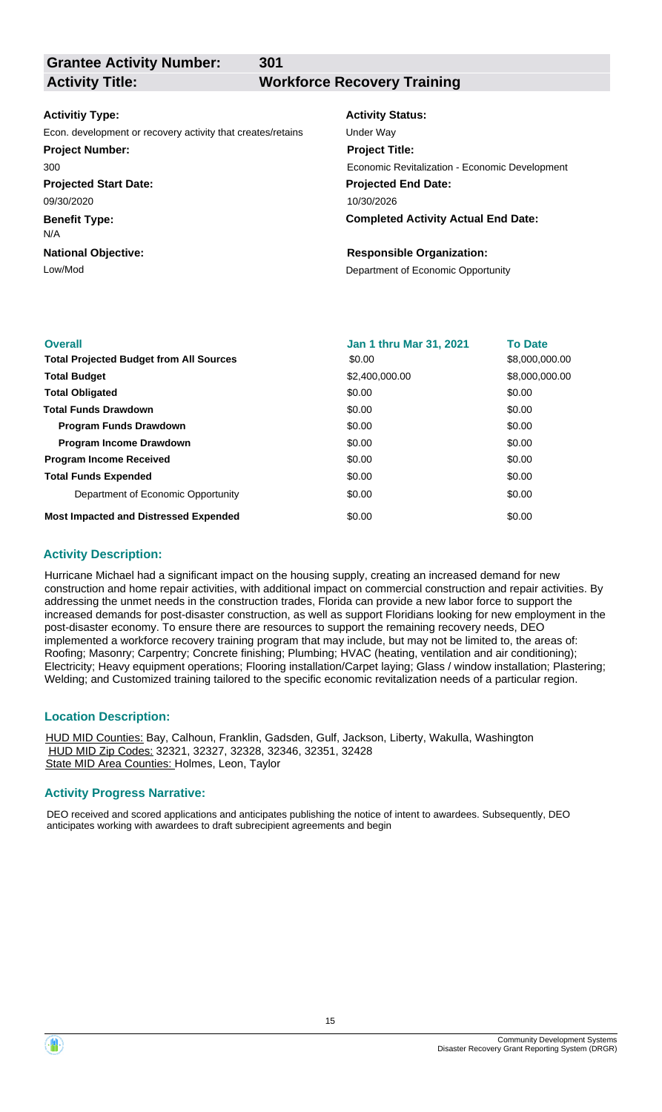**Grantee Activity Number:**

**301**

## **Activity Title: Workforce Recovery Training**

#### **Activitiy Type:**

Econ. development or recovery activity that creates/retains Under Way **Project Number:**

300

**Projected Start Date:** 09/30/2020

**Benefit Type:**

N/A

**National Objective:**

## **Activity Status: Projected End Date:** 10/30/2026 **Project Title:** Economic Revitalization - Economic Development

**Completed Activity Actual End Date:**

## **Responsible Organization:**

Low/Mod<br>
Department of Economic Opportunity

| <b>Overall</b>                                 | <b>Jan 1 thru Mar 31, 2021</b> | <b>To Date</b> |
|------------------------------------------------|--------------------------------|----------------|
| <b>Total Projected Budget from All Sources</b> | \$0.00                         | \$8,000,000.00 |
| <b>Total Budget</b>                            | \$2,400,000.00                 | \$8,000,000.00 |
| <b>Total Obligated</b>                         | \$0.00                         | \$0.00         |
| <b>Total Funds Drawdown</b>                    | \$0.00                         | \$0.00         |
| <b>Program Funds Drawdown</b>                  | \$0.00                         | \$0.00         |
| <b>Program Income Drawdown</b>                 | \$0.00                         | \$0.00         |
| <b>Program Income Received</b>                 | \$0.00                         | \$0.00         |
| <b>Total Funds Expended</b>                    | \$0.00                         | \$0.00         |
| Department of Economic Opportunity             | \$0.00                         | \$0.00         |
| <b>Most Impacted and Distressed Expended</b>   | \$0.00                         | \$0.00         |

## **Activity Description:**

Hurricane Michael had a significant impact on the housing supply, creating an increased demand for new construction and home repair activities, with additional impact on commercial construction and repair activities. By addressing the unmet needs in the construction trades, Florida can provide a new labor force to support the increased demands for post-disaster construction, as well as support Floridians looking for new employment in the post-disaster economy. To ensure there are resources to support the remaining recovery needs, DEO implemented a workforce recovery training program that may include, but may not be limited to, the areas of: Roofing; Masonry; Carpentry; Concrete finishing; Plumbing; HVAC (heating, ventilation and air conditioning); Electricity; Heavy equipment operations; Flooring installation/Carpet laying; Glass / window installation; Plastering; Welding; and Customized training tailored to the specific economic revitalization needs of a particular region.

## **Location Description:**

HUD MID Counties: Bay, Calhoun, Franklin, Gadsden, Gulf, Jackson, Liberty, Wakulla, Washington HUD MID Zip Codes: 32321, 32327, 32328, 32346, 32351, 32428 State MID Area Counties: Holmes, Leon, Taylor

## **Activity Progress Narrative:**

DEO received and scored applications and anticipates publishing the notice of intent to awardees. Subsequently, DEO anticipates working with awardees to draft subrecipient agreements and begin

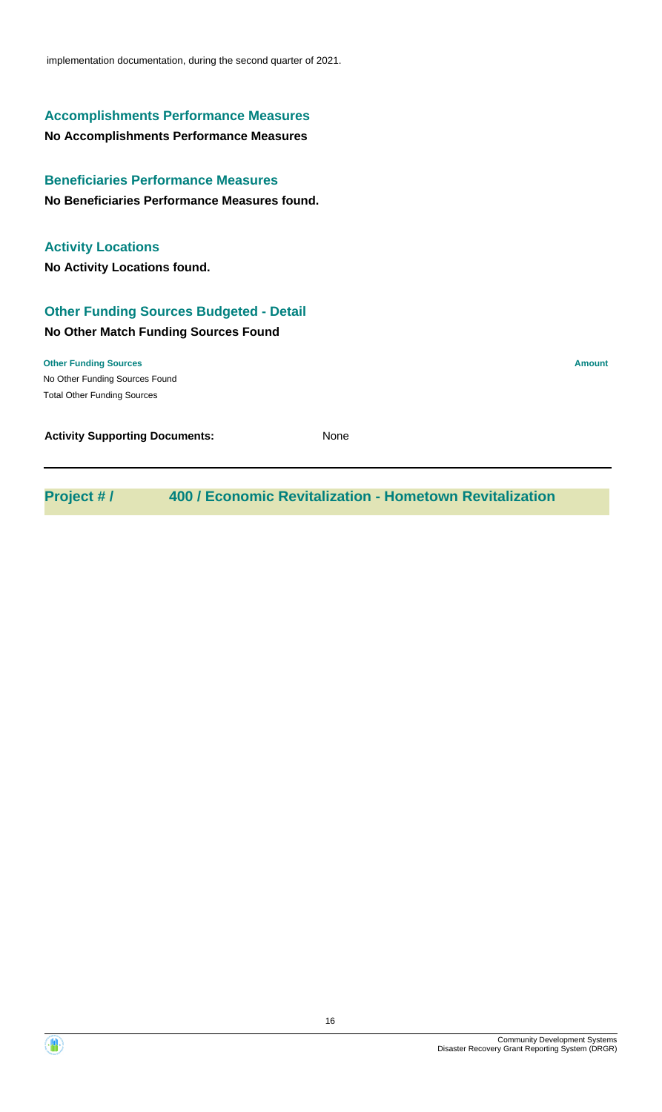implementation documentation, during the second quarter of 2021.

## **Accomplishments Performance Measures**

## **No Accomplishments Performance Measures**

**No Beneficiaries Performance Measures found. Beneficiaries Performance Measures**

## **Activity Locations**

**No Activity Locations found.**

## **Other Funding Sources Budgeted - Detail**

## **No Other Match Funding Sources Found**

No Other Funding Sources Found **Other Funding Sources Amount Amount Amount Amount Amount Amount Amount** Total Other Funding Sources

**Activity Supporting Documents:** None

**Project # / 400 / Economic Revitalization - Hometown Revitalization**

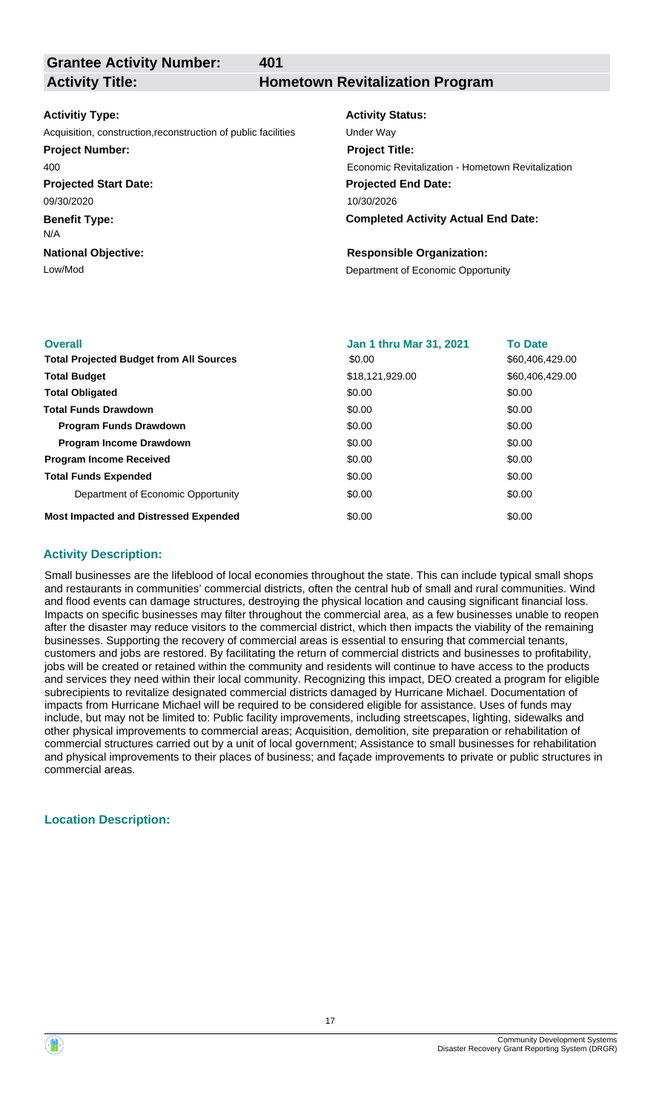**Grantee Activity Number:**

**401**

## **Activity Title: Hometown Revitalization Program**

#### **Activitiy Type:**

Acquisition, construction,reconstruction of public facilities Under Way

#### **Project Number:**

400

**Projected Start Date:** 09/30/2020

**Benefit Type:**

N/A

## **National Objective:**

## **Activity Status: Projected End Date: Completed Activity Actual End Date:** 10/30/2026 **Project Title:** Economic Revitalization - Hometown Revitalization

## **Responsible Organization:**

Low/Mod<br>
Department of Economic Opportunity

| <b>Overall</b>                                 | Jan 1 thru Mar 31, 2021 | <b>To Date</b>  |
|------------------------------------------------|-------------------------|-----------------|
| <b>Total Projected Budget from All Sources</b> | \$0.00                  | \$60,406,429.00 |
| <b>Total Budget</b>                            | \$18,121,929.00         | \$60,406,429.00 |
| <b>Total Obligated</b>                         | \$0.00                  | \$0.00          |
| <b>Total Funds Drawdown</b>                    | \$0.00                  | \$0.00          |
| <b>Program Funds Drawdown</b>                  | \$0.00                  | \$0.00          |
| <b>Program Income Drawdown</b>                 | \$0.00                  | \$0.00          |
| <b>Program Income Received</b>                 | \$0.00                  | \$0.00          |
| <b>Total Funds Expended</b>                    | \$0.00                  | \$0.00          |
| Department of Economic Opportunity             | \$0.00                  | \$0.00          |
| <b>Most Impacted and Distressed Expended</b>   | \$0.00                  | \$0.00          |

## **Activity Description:**

Small businesses are the lifeblood of local economies throughout the state. This can include typical small shops and restaurants in communities' commercial districts, often the central hub of small and rural communities. Wind and flood events can damage structures, destroying the physical location and causing significant financial loss. Impacts on specific businesses may filter throughout the commercial area, as a few businesses unable to reopen after the disaster may reduce visitors to the commercial district, which then impacts the viability of the remaining businesses. Supporting the recovery of commercial areas is essential to ensuring that commercial tenants, customers and jobs are restored. By facilitating the return of commercial districts and businesses to profitability, jobs will be created or retained within the community and residents will continue to have access to the products and services they need within their local community. Recognizing this impact, DEO created a program for eligible subrecipients to revitalize designated commercial districts damaged by Hurricane Michael. Documentation of impacts from Hurricane Michael will be required to be considered eligible for assistance. Uses of funds may include, but may not be limited to: Public facility improvements, including streetscapes, lighting, sidewalks and other physical improvements to commercial areas; Acquisition, demolition, site preparation or rehabilitation of commercial structures carried out by a unit of local government; Assistance to small businesses for rehabilitation and physical improvements to their places of business; and façade improvements to private or public structures in commercial areas.

## **Location Description:**

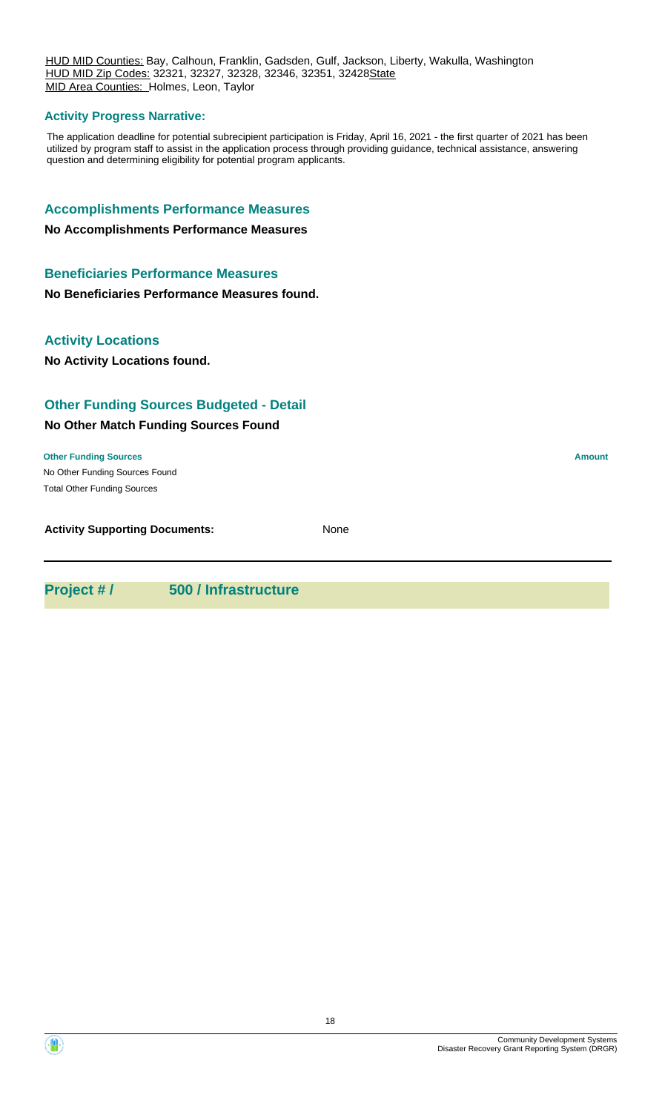HUD MID Counties: Bay, Calhoun, Franklin, Gadsden, Gulf, Jackson, Liberty, Wakulla, Washington HUD MID Zip Codes: 32321, 32327, 32328, 32346, 32351, 32428State MID Area Counties: Holmes, Leon, Taylor

## **Activity Progress Narrative:**

The application deadline for potential subrecipient participation is Friday, April 16, 2021 - the first quarter of 2021 has been utilized by program staff to assist in the application process through providing guidance, technical assistance, answering question and determining eligibility for potential program applicants.

## **Accomplishments Performance Measures**

#### **No Accomplishments Performance Measures**

## **Beneficiaries Performance Measures**

**No Beneficiaries Performance Measures found.**

## **Activity Locations**

**No Activity Locations found.**

## **Other Funding Sources Budgeted - Detail**

## **No Other Match Funding Sources Found**

No Other Funding Sources Found **Other Funding Sources Amount Amount Amount Amount Amount Amount Amount** Total Other Funding Sources

**Activity Supporting Documents:** None

**Project # / 500 / Infrastructure**

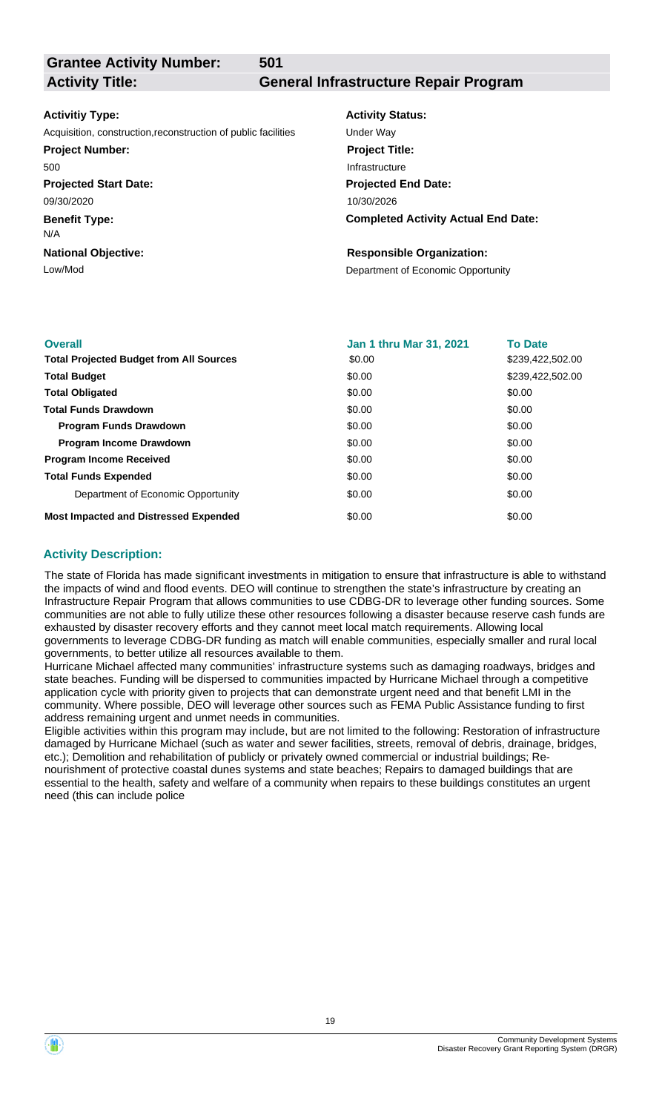**Grantee Activity Number:**

**501**

## **Activity Title: General Infrastructure Repair Program**

## **Activitiy Type:**

Acquisition, construction,reconstruction of public facilities Under Way

## **Project Number:**

500

**Projected Start Date:** 09/30/2020

**Benefit Type:**

N/A

**National Objective:**

**Activity Status: Projected End Date: Completed Activity Actual End Date:** 10/30/2026 **Project Title:** Infrastructure

## **Responsible Organization:**

Low/Mod<br>
Department of Economic Opportunity

| <b>Overall</b>                                 | Jan 1 thru Mar 31, 2021 | <b>To Date</b>   |
|------------------------------------------------|-------------------------|------------------|
| <b>Total Projected Budget from All Sources</b> | \$0.00                  | \$239,422,502.00 |
| <b>Total Budget</b>                            | \$0.00                  | \$239.422.502.00 |
| <b>Total Obligated</b>                         | \$0.00                  | \$0.00           |
| <b>Total Funds Drawdown</b>                    | \$0.00                  | \$0.00           |
| <b>Program Funds Drawdown</b>                  | \$0.00                  | \$0.00           |
| <b>Program Income Drawdown</b>                 | \$0.00                  | \$0.00           |
| <b>Program Income Received</b>                 | \$0.00                  | \$0.00           |
| <b>Total Funds Expended</b>                    | \$0.00                  | \$0.00           |
| Department of Economic Opportunity             | \$0.00                  | \$0.00           |
| <b>Most Impacted and Distressed Expended</b>   | \$0.00                  | \$0.00           |

## **Activity Description:**

The state of Florida has made significant investments in mitigation to ensure that infrastructure is able to withstand the impacts of wind and flood events. DEO will continue to strengthen the state's infrastructure by creating an Infrastructure Repair Program that allows communities to use CDBG-DR to leverage other funding sources. Some communities are not able to fully utilize these other resources following a disaster because reserve cash funds are exhausted by disaster recovery efforts and they cannot meet local match requirements. Allowing local governments to leverage CDBG-DR funding as match will enable communities, especially smaller and rural local governments, to better utilize all resources available to them.

Hurricane Michael affected many communities' infrastructure systems such as damaging roadways, bridges and state beaches. Funding will be dispersed to communities impacted by Hurricane Michael through a competitive application cycle with priority given to projects that can demonstrate urgent need and that benefit LMI in the community. Where possible, DEO will leverage other sources such as FEMA Public Assistance funding to first address remaining urgent and unmet needs in communities.

Eligible activities within this program may include, but are not limited to the following: Restoration of infrastructure damaged by Hurricane Michael (such as water and sewer facilities, streets, removal of debris, drainage, bridges, etc.); Demolition and rehabilitation of publicly or privately owned commercial or industrial buildings; Renourishment of protective coastal dunes systems and state beaches; Repairs to damaged buildings that are essential to the health, safety and welfare of a community when repairs to these buildings constitutes an urgent need (this can include police

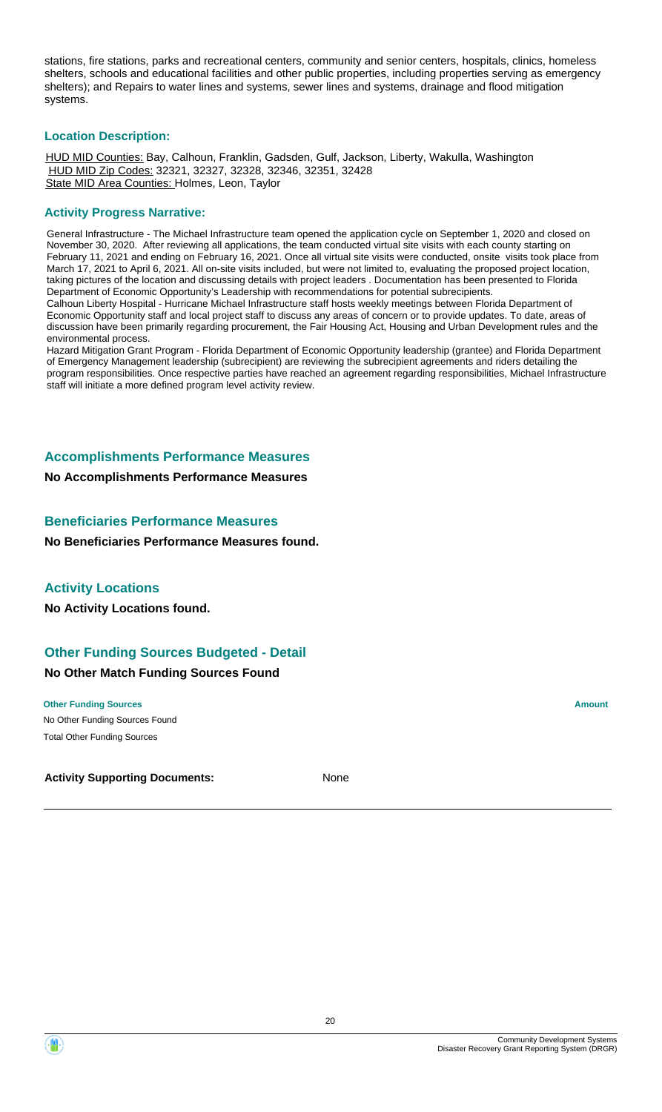stations, fire stations, parks and recreational centers, community and senior centers, hospitals, clinics, homeless shelters, schools and educational facilities and other public properties, including properties serving as emergency shelters); and Repairs to water lines and systems, sewer lines and systems, drainage and flood mitigation systems.

## **Location Description:**

HUD MID Counties: Bay, Calhoun, Franklin, Gadsden, Gulf, Jackson, Liberty, Wakulla, Washington HUD MID Zip Codes: 32321, 32327, 32328, 32346, 32351, 32428 State MID Area Counties: Holmes, Leon, Taylor

## **Activity Progress Narrative:**

General Infrastructure - The Michael Infrastructure team opened the application cycle on September 1, 2020 and closed on November 30, 2020. After reviewing all applications, the team conducted virtual site visits with each county starting on February 11, 2021 and ending on February 16, 2021. Once all virtual site visits were conducted, onsite visits took place from March 17, 2021 to April 6, 2021. All on-site visits included, but were not limited to, evaluating the proposed project location, taking pictures of the location and discussing details with project leaders . Documentation has been presented to Florida Department of Economic Opportunity's Leadership with recommendations for potential subrecipients. Calhoun Liberty Hospital - Hurricane Michael Infrastructure staff hosts weekly meetings between Florida Department of Economic Opportunity staff and local project staff to discuss any areas of concern or to provide updates. To date, areas of discussion have been primarily regarding procurement, the Fair Housing Act, Housing and Urban Development rules and the environmental process.

Hazard Mitigation Grant Program - Florida Department of Economic Opportunity leadership (grantee) and Florida Department of Emergency Management leadership (subrecipient) are reviewing the subrecipient agreements and riders detailing the program responsibilities. Once respective parties have reached an agreement regarding responsibilities, Michael Infrastructure staff will initiate a more defined program level activity review.

## **Accomplishments Performance Measures**

**No Accomplishments Performance Measures**

## **Beneficiaries Performance Measures**

**No Beneficiaries Performance Measures found.**

## **Activity Locations**

**No Activity Locations found.**

## **Other Funding Sources Budgeted - Detail**

### **No Other Match Funding Sources Found**

No Other Funding Sources Found **Other Funding Sources Amount Amount Amount Amount Amount Amount Amount** Total Other Funding Sources

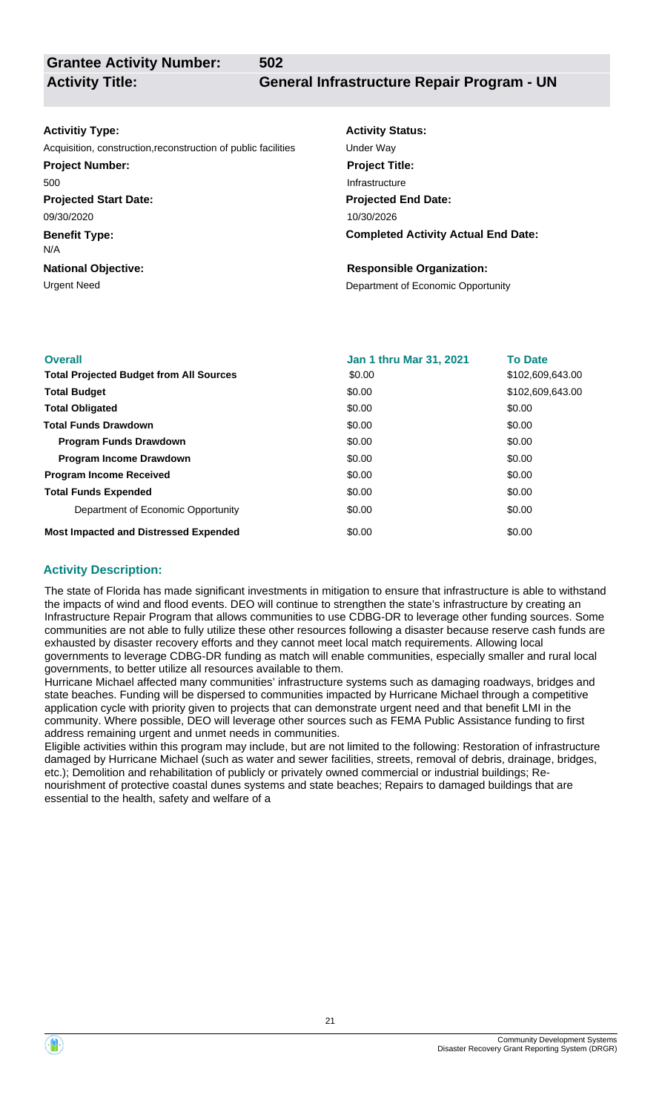**Grantee Activity Number:**

**Activity Title: General Infrastructure Repair Program - UN**

#### **Activitiy Type:**

Acquisition, construction,reconstruction of public facilities Under Way

**502**

**Projected Start Date: Project Number:** 500

**Benefit Type:** 09/30/2020

N/A

**National Objective:**

**Activity Status: Project Title:** Infrastructure

**Projected End Date: Completed Activity Actual End Date:** 10/30/2026

## **Responsible Organization:**

Urgent Need **Department of Economic Opportunity** 

| <b>Overall</b>                                 | <b>Jan 1 thru Mar 31, 2021</b> | <b>To Date</b>   |
|------------------------------------------------|--------------------------------|------------------|
| <b>Total Projected Budget from All Sources</b> | \$0.00                         | \$102,609,643.00 |
| <b>Total Budget</b>                            | \$0.00                         | \$102.609.643.00 |
| <b>Total Obligated</b>                         | \$0.00                         | \$0.00           |
| <b>Total Funds Drawdown</b>                    | \$0.00                         | \$0.00           |
| <b>Program Funds Drawdown</b>                  | \$0.00                         | \$0.00           |
| <b>Program Income Drawdown</b>                 | \$0.00                         | \$0.00           |
| <b>Program Income Received</b>                 | \$0.00                         | \$0.00           |
| <b>Total Funds Expended</b>                    | \$0.00                         | \$0.00           |
| Department of Economic Opportunity             | \$0.00                         | \$0.00           |
| <b>Most Impacted and Distressed Expended</b>   | \$0.00                         | \$0.00           |

## **Activity Description:**

The state of Florida has made significant investments in mitigation to ensure that infrastructure is able to withstand the impacts of wind and flood events. DEO will continue to strengthen the state's infrastructure by creating an Infrastructure Repair Program that allows communities to use CDBG-DR to leverage other funding sources. Some communities are not able to fully utilize these other resources following a disaster because reserve cash funds are exhausted by disaster recovery efforts and they cannot meet local match requirements. Allowing local governments to leverage CDBG-DR funding as match will enable communities, especially smaller and rural local governments, to better utilize all resources available to them.

Hurricane Michael affected many communities' infrastructure systems such as damaging roadways, bridges and state beaches. Funding will be dispersed to communities impacted by Hurricane Michael through a competitive application cycle with priority given to projects that can demonstrate urgent need and that benefit LMI in the community. Where possible, DEO will leverage other sources such as FEMA Public Assistance funding to first address remaining urgent and unmet needs in communities.

Eligible activities within this program may include, but are not limited to the following: Restoration of infrastructure damaged by Hurricane Michael (such as water and sewer facilities, streets, removal of debris, drainage, bridges, etc.); Demolition and rehabilitation of publicly or privately owned commercial or industrial buildings; Renourishment of protective coastal dunes systems and state beaches; Repairs to damaged buildings that are essential to the health, safety and welfare of a

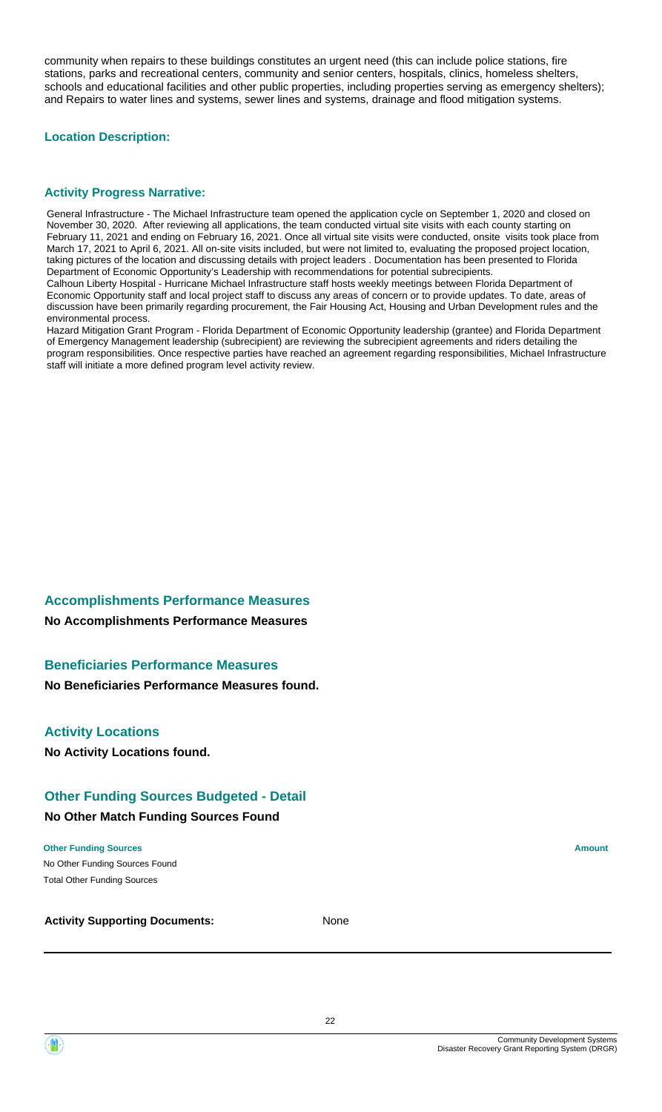community when repairs to these buildings constitutes an urgent need (this can include police stations, fire stations, parks and recreational centers, community and senior centers, hospitals, clinics, homeless shelters, schools and educational facilities and other public properties, including properties serving as emergency shelters); and Repairs to water lines and systems, sewer lines and systems, drainage and flood mitigation systems.

## **Location Description:**

## **Activity Progress Narrative:**

General Infrastructure - The Michael Infrastructure team opened the application cycle on September 1, 2020 and closed on November 30, 2020. After reviewing all applications, the team conducted virtual site visits with each county starting on February 11, 2021 and ending on February 16, 2021. Once all virtual site visits were conducted, onsite visits took place from March 17, 2021 to April 6, 2021. All on-site visits included, but were not limited to, evaluating the proposed project location, taking pictures of the location and discussing details with project leaders . Documentation has been presented to Florida Department of Economic Opportunity's Leadership with recommendations for potential subrecipients. Calhoun Liberty Hospital - Hurricane Michael Infrastructure staff hosts weekly meetings between Florida Department of Economic Opportunity staff and local project staff to discuss any areas of concern or to provide updates. To date, areas of discussion have been primarily regarding procurement, the Fair Housing Act, Housing and Urban Development rules and the environmental process.

Hazard Mitigation Grant Program - Florida Department of Economic Opportunity leadership (grantee) and Florida Department of Emergency Management leadership (subrecipient) are reviewing the subrecipient agreements and riders detailing the program responsibilities. Once respective parties have reached an agreement regarding responsibilities, Michael Infrastructure staff will initiate a more defined program level activity review.

## **Accomplishments Performance Measures**

**No Accomplishments Performance Measures**

## **Beneficiaries Performance Measures**

**No Beneficiaries Performance Measures found.**

## **Activity Locations**

**No Activity Locations found.**

## **Other Funding Sources Budgeted - Detail**

#### **No Other Match Funding Sources Found**

No Other Funding Sources Found **Other Funding Sources Amount Amount Amount Amount Amount Amount Amount** Total Other Funding Sources



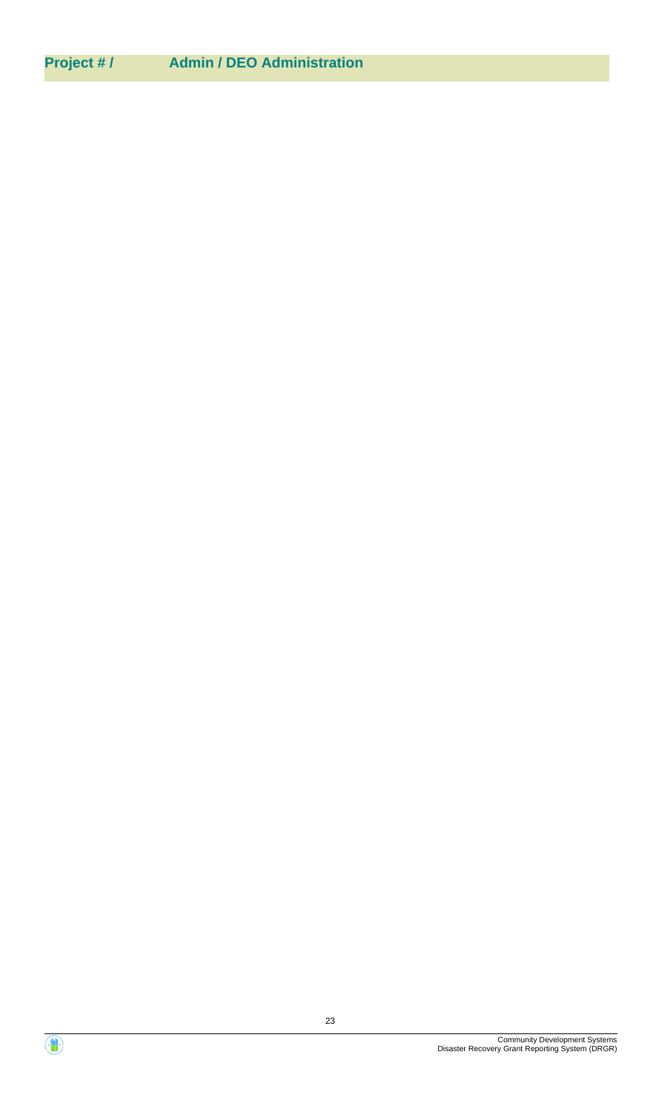## **Project # / Admin / DEO Administration**

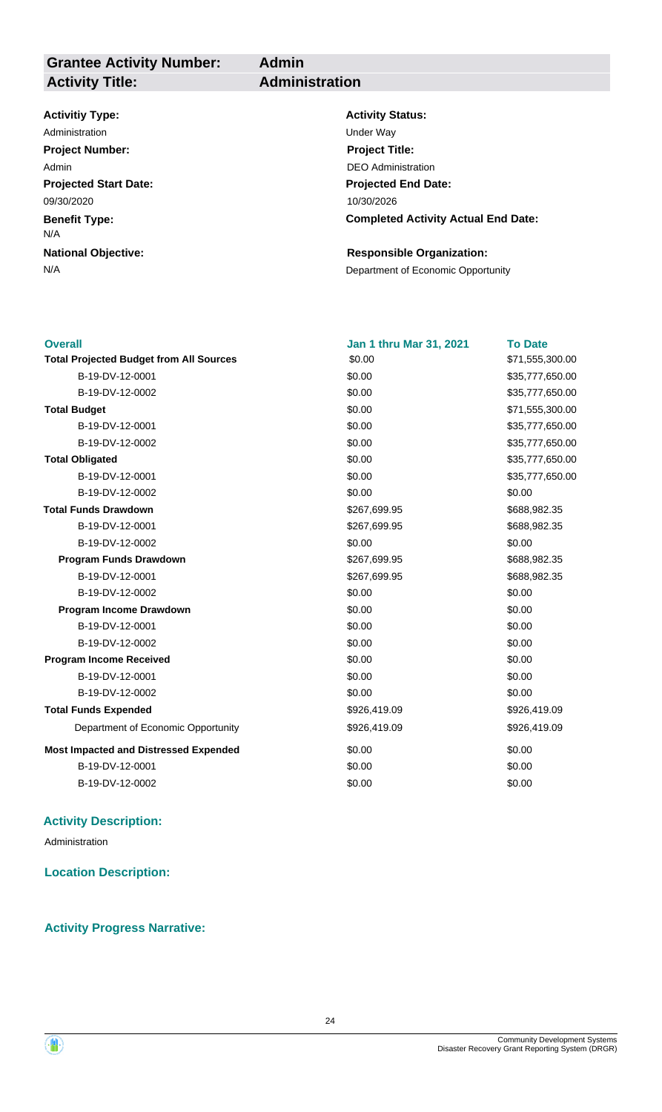**Grantee Activity Number: Activity Title: Administration**

**Admin**

## **Activitiy Type:**

**Projected Start Date: Benefit Type: National Objective:** 09/30/2020 N/A Administration **Manufacture 1966** Under Way **Project Number:** Admin

**Activity Status: Projected End Date: Completed Activity Actual End Date:** 10/30/2026 **Project Title:** DEO Administration

## **Responsible Organization:**

N/A **Department of Economic Opportunity** 

| <b>Overall</b>                                 | Jan 1 thru Mar 31, 2021 | <b>To Date</b>  |
|------------------------------------------------|-------------------------|-----------------|
| <b>Total Projected Budget from All Sources</b> | \$0.00                  | \$71,555,300.00 |
| B-19-DV-12-0001                                | \$0.00                  | \$35,777,650.00 |
| B-19-DV-12-0002                                | \$0.00                  | \$35,777,650.00 |
| <b>Total Budget</b>                            | \$0.00                  | \$71,555,300.00 |
| B-19-DV-12-0001                                | \$0.00                  | \$35,777,650.00 |
| B-19-DV-12-0002                                | \$0.00                  | \$35,777,650.00 |
| <b>Total Obligated</b>                         | \$0.00                  | \$35,777,650.00 |
| B-19-DV-12-0001                                | \$0.00                  | \$35,777,650.00 |
| B-19-DV-12-0002                                | \$0.00                  | \$0.00          |
| <b>Total Funds Drawdown</b>                    | \$267,699.95            | \$688,982.35    |
| B-19-DV-12-0001                                | \$267,699.95            | \$688,982.35    |
| B-19-DV-12-0002                                | \$0.00                  | \$0.00          |
| <b>Program Funds Drawdown</b>                  | \$267,699.95            | \$688,982.35    |
| B-19-DV-12-0001                                | \$267,699.95            | \$688,982.35    |
| B-19-DV-12-0002                                | \$0.00                  | \$0.00          |
| Program Income Drawdown                        | \$0.00                  | \$0.00          |
| B-19-DV-12-0001                                | \$0.00                  | \$0.00          |
| B-19-DV-12-0002                                | \$0.00                  | \$0.00          |
| <b>Program Income Received</b>                 | \$0.00                  | \$0.00          |
| B-19-DV-12-0001                                | \$0.00                  | \$0.00          |
| B-19-DV-12-0002                                | \$0.00                  | \$0.00          |
| <b>Total Funds Expended</b>                    | \$926,419.09            | \$926,419.09    |
| Department of Economic Opportunity             | \$926,419.09            | \$926,419.09    |
| <b>Most Impacted and Distressed Expended</b>   | \$0.00                  | \$0.00          |
| B-19-DV-12-0001                                | \$0.00                  | \$0.00          |
| B-19-DV-12-0002                                | \$0.00                  | \$0.00          |
|                                                |                         |                 |

## **Activity Description:**

Administration

**Location Description:**

## **Activity Progress Narrative:**

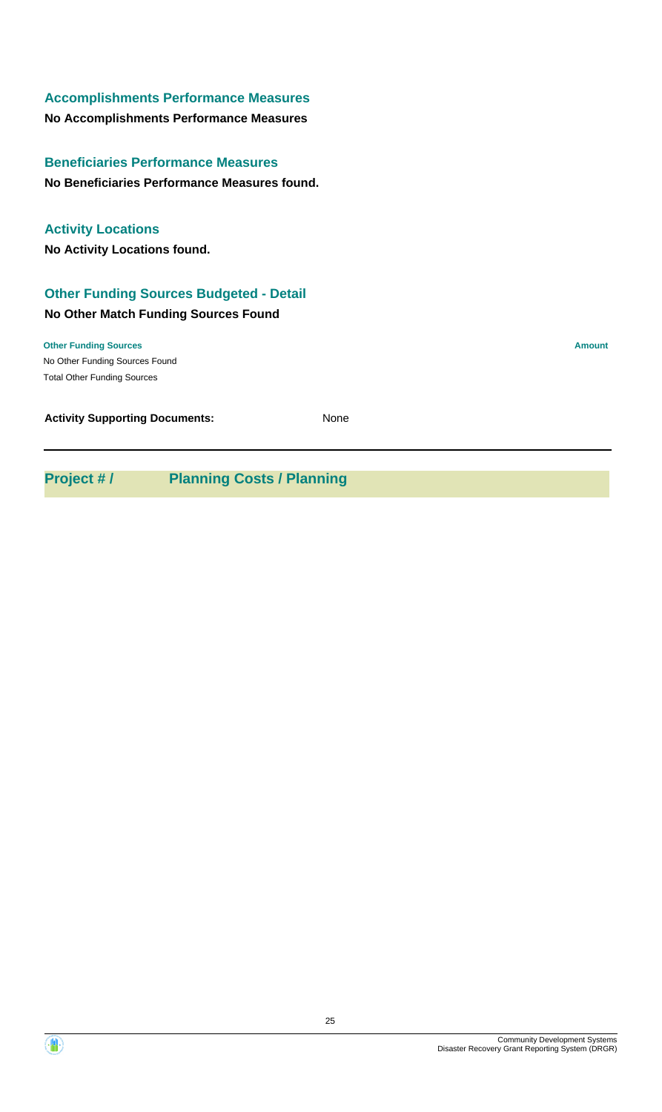## **Accomplishments Performance Measures**

**No Accomplishments Performance Measures**

**No Beneficiaries Performance Measures found. Beneficiaries Performance Measures**

## **Activity Locations**

**No Activity Locations found.**

## **Other Funding Sources Budgeted - Detail**

## **No Other Match Funding Sources Found**

No Other Funding Sources Found **Other Funding Sources Amount** Total Other Funding Sources

| <b>Activity Supporting Documents:</b> | None |
|---------------------------------------|------|
|---------------------------------------|------|

**Project # / Planning Costs / Planning**

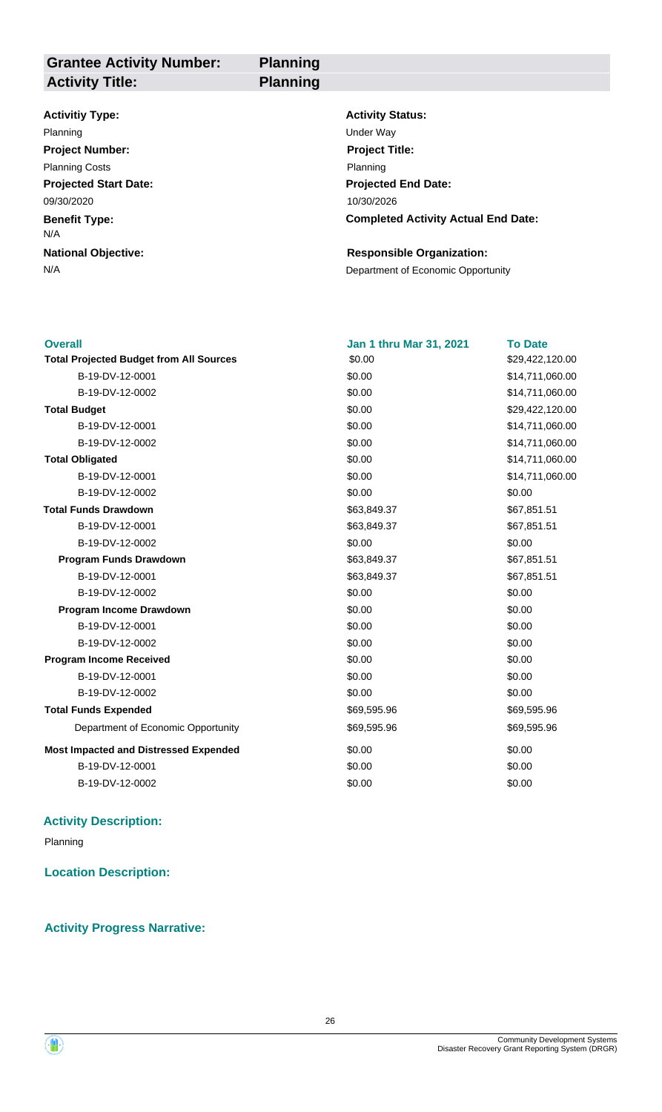**Grantee Activity Number: Projected Start Date: Benefit Type: National Objective: Activity Status: Projected End Date: Completed Activity Actual End Date: Planning Activitiy Type:** 10/30/2026 09/30/2020 N/A **Responsible Organization:** Planning **Districts and Districts and Districts and Districts and Districts and Districts and Districts and Districts and Districts and Districts and Districts and Districts and Districts and Districts and Districts and Di Activity Title: Planning Project Number:** Planning Costs **Project Title:** Planning

N/A **Department of Economic Opportunity** 

| <b>Overall</b>                                 | <b>Jan 1 thru Mar 31, 2021</b> | <b>To Date</b>  |
|------------------------------------------------|--------------------------------|-----------------|
| <b>Total Projected Budget from All Sources</b> | \$0.00                         | \$29,422,120.00 |
| B-19-DV-12-0001                                | \$0.00                         | \$14,711,060.00 |
| B-19-DV-12-0002                                | \$0.00                         | \$14,711,060.00 |
| <b>Total Budget</b>                            | \$0.00                         | \$29,422,120.00 |
| B-19-DV-12-0001                                | \$0.00                         | \$14,711,060.00 |
| B-19-DV-12-0002                                | \$0.00                         | \$14,711,060.00 |
| <b>Total Obligated</b>                         | \$0.00                         | \$14,711,060.00 |
| B-19-DV-12-0001                                | \$0.00                         | \$14,711,060.00 |
| B-19-DV-12-0002                                | \$0.00                         | \$0.00          |
| <b>Total Funds Drawdown</b>                    | \$63,849.37                    | \$67,851.51     |
| B-19-DV-12-0001                                | \$63,849.37                    | \$67,851.51     |
| B-19-DV-12-0002                                | \$0.00                         | \$0.00          |
| <b>Program Funds Drawdown</b>                  | \$63,849.37                    | \$67,851.51     |
| B-19-DV-12-0001                                | \$63,849.37                    | \$67,851.51     |
| B-19-DV-12-0002                                | \$0.00                         | \$0.00          |
| Program Income Drawdown                        | \$0.00                         | \$0.00          |
| B-19-DV-12-0001                                | \$0.00                         | \$0.00          |
| B-19-DV-12-0002                                | \$0.00                         | \$0.00          |
| <b>Program Income Received</b>                 | \$0.00                         | \$0.00          |
| B-19-DV-12-0001                                | \$0.00                         | \$0.00          |
| B-19-DV-12-0002                                | \$0.00                         | \$0.00          |
| <b>Total Funds Expended</b>                    | \$69,595.96                    | \$69,595.96     |
| Department of Economic Opportunity             | \$69,595.96                    | \$69,595.96     |
| <b>Most Impacted and Distressed Expended</b>   | \$0.00                         | \$0.00          |
| B-19-DV-12-0001                                | \$0.00                         | \$0.00          |
| B-19-DV-12-0002                                | \$0.00                         | \$0.00          |
|                                                |                                |                 |

## **Activity Description:**

Planning

**Location Description:**

## **Activity Progress Narrative:**